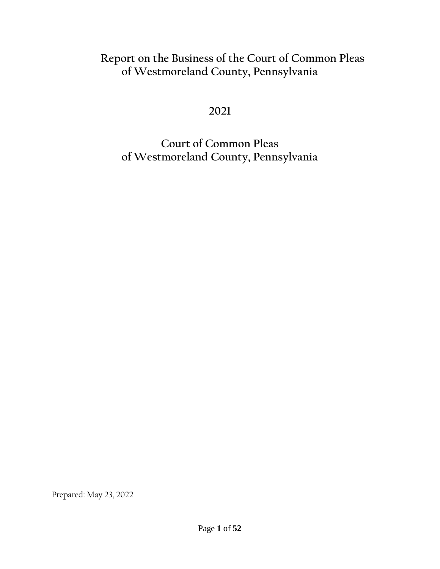# **Report on the Business of the Court of Common Pleas of Westmoreland County, Pennsylvania**

**2021**

**Court of Common Pleas of Westmoreland County, Pennsylvania**

Prepared: May 23, 2022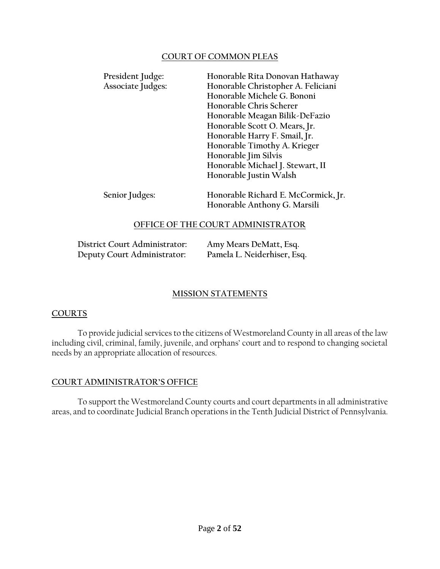#### **COURT OF COMMON PLEAS**

| President Judge:<br>Associate Judges: | Honorable Rita Donovan Hathaway<br>Honorable Christopher A. Feliciani<br>Honorable Michele G. Bononi<br>Honorable Chris Scherer<br>Honorable Meagan Bilik-DeFazio<br>Honorable Scott O. Mears, Jr.<br>Honorable Harry F. Smail, Jr.<br>Honorable Timothy A. Krieger<br>Honorable Jim Silvis<br>Honorable Michael J. Stewart, II<br>Honorable Justin Walsh |
|---------------------------------------|-----------------------------------------------------------------------------------------------------------------------------------------------------------------------------------------------------------------------------------------------------------------------------------------------------------------------------------------------------------|
| Senior Judges:                        | Honorable Richard E. McCormick, Jr.<br>Honorable Anthony G. Marsili                                                                                                                                                                                                                                                                                       |

#### **OFFICE OF THE COURT ADMINISTRATOR**

| District Court Administrator: | Amy Mears DeMatt, Esq.      |
|-------------------------------|-----------------------------|
| Deputy Court Administrator:   | Pamela L. Neiderhiser, Esq. |

### **MISSION STATEMENTS**

#### **COURTS**

To provide judicial services to the citizens of Westmoreland County in all areas of the law including civil, criminal, family, juvenile, and orphans' court and to respond to changing societal needs by an appropriate allocation of resources.

#### **COURT ADMINISTRATOR'S OFFICE**

To support the Westmoreland County courts and court departments in all administrative areas, and to coordinate Judicial Branch operations in the Tenth Judicial District of Pennsylvania.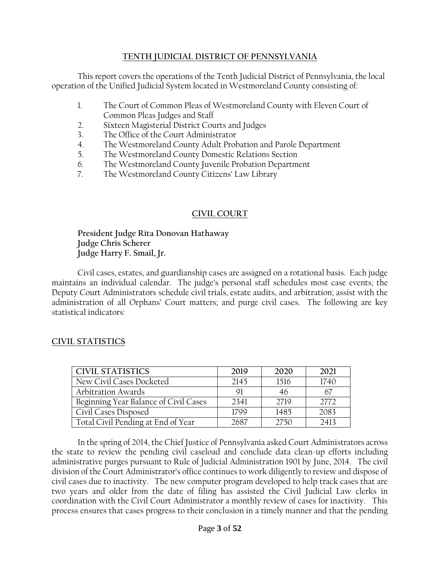#### **TENTH JUDICIAL DISTRICT OF PENNSYLVANIA**

This report covers the operations of the Tenth Judicial District of Pennsylvania, the local operation of the Unified Judicial System located in Westmoreland County consisting of:

- 1. The Court of Common Pleas of Westmoreland County with Eleven Court of Common Pleas Judges and Staff
- 2. Sixteen Magisterial District Courts and Judges
- 3. The Office of the Court Administrator
- 4. The Westmoreland County Adult Probation and Parole Department
- 5. The Westmoreland County Domestic Relations Section
- 6. The Westmoreland County Juvenile Probation Department
- 7. The Westmoreland County Citizens' Law Library

### **CIVIL COURT**

**President Judge Rita Donovan Hathaway Judge Chris Scherer Judge Harry F. Smail, Jr.**

Civil cases, estates, and guardianship cases are assigned on a rotational basis. Each judge maintains an individual calendar. The judge's personal staff schedules most case events; the Deputy Court Administrators schedule civil trials, estate audits, and arbitration; assist with the administration of all Orphans' Court matters; and purge civil cases. The following are key statistical indicators:

### **CIVIL STATISTICS**

| <b>CIVIL STATISTICS</b>               | 2019 | 2020 | 2021 |
|---------------------------------------|------|------|------|
| New Civil Cases Docketed              | 2145 | 1516 | 1740 |
| <b>Arbitration Awards</b>             | 91   | 46   |      |
| Beginning Year Balance of Civil Cases | 2341 | 2719 | 2772 |
| Civil Cases Disposed                  | 1799 | 1485 | 2083 |
| Total Civil Pending at End of Year    | 2687 | 2750 | 2413 |

In the spring of 2014, the Chief Justice of Pennsylvania asked Court Administrators across the state to review the pending civil caseload and conclude data clean-up efforts including administrative purges pursuant to Rule of Judicial Administration 1901 by June, 2014. The civil division of the Court Administrator's office continues to work diligently to review and dispose of civil cases due to inactivity. The new computer program developed to help track cases that are two years and older from the date of filing has assisted the Civil Judicial Law clerks in coordination with the Civil Court Administrator a monthly review of cases for inactivity. This process ensures that cases progress to their conclusion in a timely manner and that the pending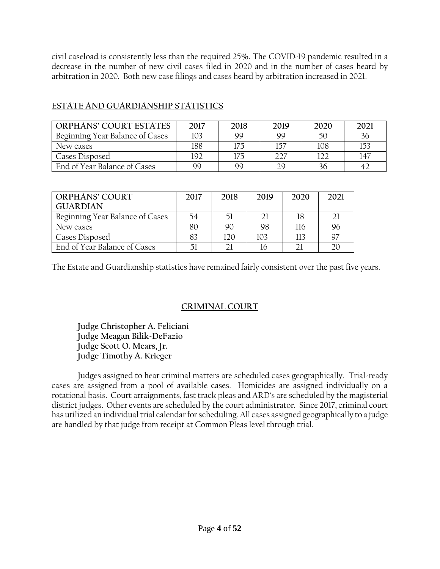civil caseload is consistently less than the required 25**%.** The COVID-19 pandemic resulted in a decrease in the number of new civil cases filed in 2020 and in the number of cases heard by arbitration in 2020. Both new case filings and cases heard by arbitration increased in 2021.

| <b>ORPHANS' COURT ESTATES</b>   | 2017 | 2018 | 2019 | 2020 | 2021 |
|---------------------------------|------|------|------|------|------|
| Beginning Year Balance of Cases | 103  | 99   | 99   | 50   | 36   |
| New cases                       | 188  |      |      | 108  | 153  |
| Cases Disposed                  | 192  | l75  |      |      | 147  |
| End of Year Balance of Cases    | 99   | 99   | າດ   | 36   |      |

### **ESTATE AND GUARDIANSHIP STATISTICS**

| <b>ORPHANS' COURT</b>           | 2017 | 2018 | 2019 | 2020 | 2021           |
|---------------------------------|------|------|------|------|----------------|
| <b>GUARDIAN</b>                 |      |      |      |      |                |
| Beginning Year Balance of Cases | 54   | 51   |      | 18   | $\bigcap$      |
| New cases                       | 80   | 90   | 98   | 116  | 96             |
| Cases Disposed                  |      | 120  | 103  | 113  | 97             |
| End of Year Balance of Cases    |      |      | 16   |      | $\mathfrak{I}$ |

The Estate and Guardianship statistics have remained fairly consistent over the past five years.

### **CRIMINAL COURT**

**Judge Christopher A. Feliciani Judge Meagan Bilik-DeFazio Judge Scott O. Mears, Jr. Judge Timothy A. Krieger**

Judges assigned to hear criminal matters are scheduled cases geographically. Trial-ready cases are assigned from a pool of available cases. Homicides are assigned individually on a rotational basis. Court arraignments, fast track pleas and ARD's are scheduled by the magisterial district judges. Other events are scheduled by the court administrator. Since 2017, criminal court has utilized an individual trial calendar for scheduling. All cases assigned geographically to a judge are handled by that judge from receipt at Common Pleas level through trial.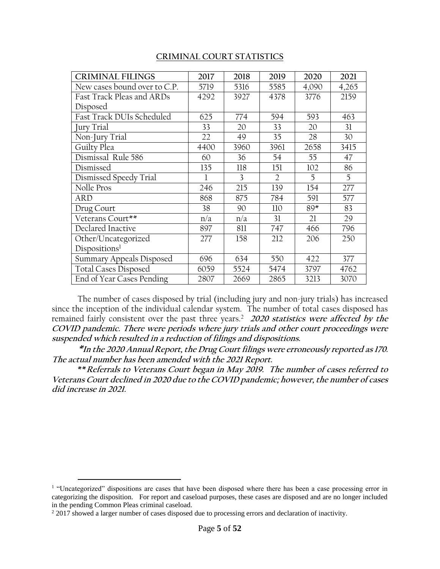#### **CRIMINAL COURT STATISTICS**

| <b>CRIMINAL FILINGS</b>      | 2017 | 2018 | 2019           | 2020  | 2021  |
|------------------------------|------|------|----------------|-------|-------|
| New cases bound over to C.P. | 5719 | 5316 | 5585           | 4,090 | 4,265 |
| Fast Track Pleas and ARDs    | 4292 | 3927 | 4378           | 3776  | 2159  |
| Disposed                     |      |      |                |       |       |
| Fast Track DUIs Scheduled    | 625  | 774  | 594            | 593   | 463   |
| Jury Trial                   | 33   | 20   | 33             | 20    | 31    |
| Non-Jury Trial               | 22   | 49   | 35             | 28    | 30    |
| Guilty Plea                  | 4400 | 3960 | 3961           | 2658  | 3415  |
| Dismissal Rule 586           | 60   | 36   | 54             | 55    | 47    |
| Dismissed                    | 135  | 118  | 151            | 102   | 86    |
| Dismissed Speedy Trial       | 1    | 3    | $\overline{2}$ | 5     | 5     |
| Nolle Pros                   | 246  | 215  | 139            | 154   | 277   |
| ARD                          | 868  | 875  | 784            | 591   | 577   |
| Drug Court                   | 38   | 90   | 110            | $89*$ | 83    |
| Veterans Court**             | n/a  | n/a  | 31             | 21    | 29    |
| Declared Inactive            | 897  | 811  | 747            | 466   | 796   |
| Other/Uncategorized          | 277  | 158  | 212            | 206   | 250   |
| Dispositions <sup>1</sup>    |      |      |                |       |       |
| Summary Appeals Disposed     | 696  | 634  | 550            | 422   | 377   |
| <b>Total Cases Disposed</b>  | 6059 | 5524 | 5474           | 3797  | 4762  |
| End of Year Cases Pending    | 2807 | 2669 | 2865           | 3213  | 3070  |

The number of cases disposed by trial (including jury and non-jury trials) has increased since the inception of the individual calendar system. The number of total cases disposed has remained fairly consistent over the past three years.<sup>2</sup> **2020 statistics were affected by the COVID pandemic. There were periods where jury trials and other court proceedings were suspended which resulted in a reduction of filings and dispositions.**

**\*In the 2020 Annual Report, the Drug Court filings were erroneously reported as 170. The actual number has been amended with the 2021 Report.**

**\*\*Referrals to Veterans Court began in May 2019. The number of cases referred to Veterans Court declined in 2020 due to the COVID pandemic; however, the number of cases did increase in 2021.**

 $\overline{a}$ 

<sup>&</sup>lt;sup>1</sup> "Uncategorized" dispositions are cases that have been disposed where there has been a case processing error in categorizing the disposition. For report and caseload purposes, these cases are disposed and are no longer included in the pending Common Pleas criminal caseload.

<sup>&</sup>lt;sup>2</sup> 2017 showed a larger number of cases disposed due to processing errors and declaration of inactivity.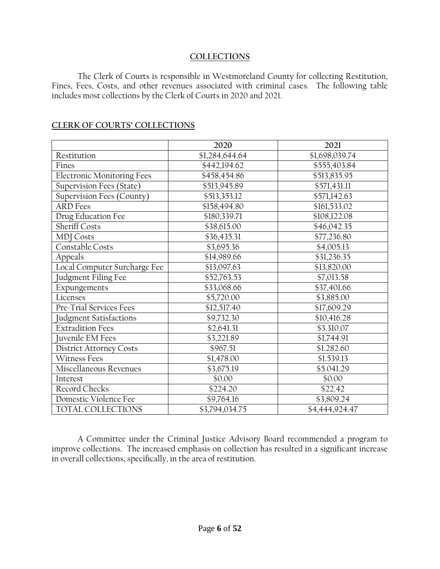#### **COLLECTIONS**

The Clerk of Courts is responsible in Westmoreland County for collecting Restitution, Fines, Fees, Costs, and other revenues associated with criminal cases. The following table includes most collections by the Clerk of Courts in 2020 and 2021.

|                                   | 2020           | 2021           |
|-----------------------------------|----------------|----------------|
| Restitution                       | \$1,284,644.64 | \$1,698,039.74 |
| Fines                             | \$442,194.62   | \$555,403.84   |
| <b>Electronic Monitoring Fees</b> | \$458,454.86   | \$513,835.95   |
| Supervision Fees (State)          | \$513,945.89   | \$571,431.11   |
| Supervision Fees (County)         | \$513,353.12   | \$571,142.63   |
| <b>ARD</b> Fees                   | \$158,494.80   | \$161,533.02   |
| Drug Education Fee                | \$180,339.71   | \$108,122.08   |
| <b>Sheriff Costs</b>              | \$38,615.00    | \$46,042.35    |
| <b>MDJ</b> Costs                  | \$36,435.31    | \$77,236.80    |
| Constable Costs                   | \$3,695.36     | \$4,005.13     |
| Appeals                           | \$14,989.66    | \$31,236.35    |
| Local Computer Surcharge Fee      | \$13,097.63    | \$13,820.00    |
| Judgment Filing Fee               | \$52,763.53    | \$7,013.58     |
| Expungements                      | \$33,068.66    | \$37,401.66    |
| Licenses                          | \$5,720.00     | \$3,885.00     |
| Pre-Trial Services Fees           | \$12,517.40    | \$17,609.29    |
| Judgment Satisfactions            | \$9,732.30     | \$10,416.28    |
| <b>Extradition Fees</b>           | \$2,641.31     | \$3.310.07     |
| Juvenile EM Fees                  | \$3,221.89     | \$1,744.91     |
| <b>District Attorney Costs</b>    | \$967.51       | \$1.282.60     |
| <b>Witness Fees</b>               | \$1,478.00     | \$1.539.13     |
| Miscellaneous Revenues            | \$3,675.19     | \$5.041.29     |
| Interest                          | \$0.00         | \$0.00         |
| Record Checks                     | \$224.20       | \$22.42        |
| Domestic Violence Fee             | \$9,764.16     | \$3,809.24     |
| TOTAL COLLECTIONS                 | \$3,794,034.75 | \$4,444,924.47 |

#### **CLERK OF COURTS' COLLECTIONS**

A Committee under the Criminal Justice Advisory Board recommended a program to improve collections. The increased emphasis on collection has resulted in a significant increase in overall collections; specifically, in the area of restitution.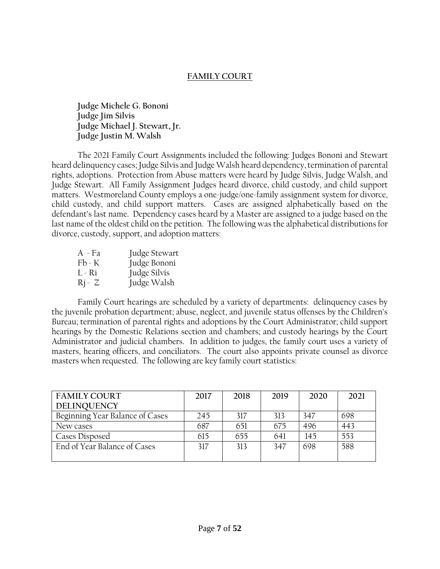### **FAMILY COURT**

**Judge Michele G. Bononi Judge Jim Silvis Judge Michael J. Stewart, Jr. Judge Justin M. Walsh**

The 2021 Family Court Assignments included the following: Judges Bononi and Stewart heard delinquency cases; Judge Silvis and Judge Walsh heard dependency, termination of parental rights, adoptions. Protection from Abuse matters were heard by Judge Silvis, Judge Walsh, and Judge Stewart. All Family Assignment Judges heard divorce, child custody, and child support matters. Westmoreland County employs a one-judge/one-family assignment system for divorce, child custody, and child support matters. Cases are assigned alphabetically based on the defendant's last name. Dependency cases heard by a Master are assigned to a judge based on the last name of the oldest child on the petition. The following was the alphabetical distributions for divorce, custody, support, and adoption matters:

| A - Fa             | Judge Stewart |
|--------------------|---------------|
| $Fb - K$           | Judge Bononi  |
| L - Ri             | Judge Silvis  |
| $\mathrm{R}$ j - Z | Judge Walsh   |

Family Court hearings are scheduled by a variety of departments: delinquency cases by the juvenile probation department; abuse, neglect, and juvenile status offenses by the Children's Bureau; termination of parental rights and adoptions by the Court Administrator; child support hearings by the Domestic Relations section and chambers; and custody hearings by the Court Administrator and judicial chambers. In addition to judges, the family court uses a variety of masters, hearing officers, and conciliators. The court also appoints private counsel as divorce masters when requested. The following are key family court statistics:

| <b>FAMILY COURT</b>             | 2017 | 2018 | 2019 | 2020 | 2021 |
|---------------------------------|------|------|------|------|------|
| <b>DELINQUENCY</b>              |      |      |      |      |      |
| Beginning Year Balance of Cases | 245  | 317  | 313  | 347  | 698  |
| New cases                       | 687  | 651  | 675  | 496  | 443  |
| Cases Disposed                  | 615  | 655  | 641  | 145  | 553  |
| End of Year Balance of Cases    | 317  | 313  | 347  | 698  | 588  |
|                                 |      |      |      |      |      |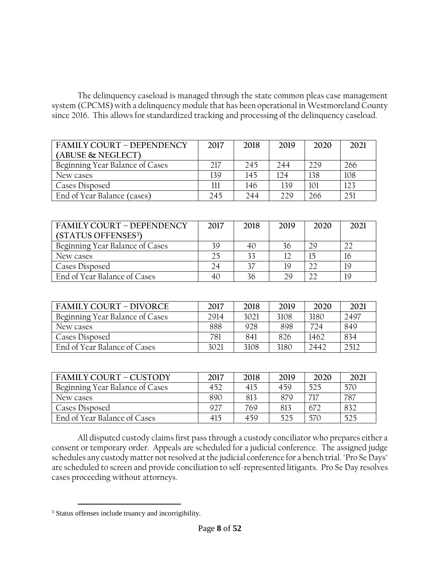The delinquency caseload is managed through the state common pleas case management system (CPCMS) with a delinquency module that has been operational in Westmoreland County since 2016. This allows for standardized tracking and processing of the delinquency caseload.

| <b>FAMILY COURT - DEPENDENCY</b> | 2017 | 2018 | 2019 | 2020 | 2021 |
|----------------------------------|------|------|------|------|------|
| (ABUSE & NEGLECT)                |      |      |      |      |      |
| Beginning Year Balance of Cases  | 217  | 245  | 244  | 229  | 266  |
| New cases                        | 139  | 145  | 174  | 138  | 108  |
| Cases Disposed                   | 111  | 146  | 139  | 101  | 123  |
| End of Year Balance (cases)      | 245  | 244  | 229  | 266  | 251  |

| <b>FAMILY COURT - DEPENDENCY</b> | 2017 | 2018 | 2019 | 2020 | 2021 |
|----------------------------------|------|------|------|------|------|
| (STATUS OFFENSES <sup>3</sup> )  |      |      |      |      |      |
| Beginning Year Balance of Cases  | 39   | 40   | 36   | 29   |      |
| New cases                        | 25   | 33   | 12   | 15   | 16   |
| Cases Disposed                   | 24   |      | 19   | 22   | 19   |
| End of Year Balance of Cases     |      | 36   | 29   | າາ   | 19   |

| FAMILY COURT - DIVORCE          | 2017 | 2018 | 2019 | 2020 | 2021 |
|---------------------------------|------|------|------|------|------|
| Beginning Year Balance of Cases | 2914 | 3021 | 3108 | 3180 | 2497 |
| New cases                       | 888  | 928  | 898  | 774  | 849  |
| Cases Disposed                  | 781  | 841  | 826  | 1462 | 834  |
| End of Year Balance of Cases    | 3021 | 3108 | 3180 | 2442 | 2512 |

| FAMILY COURT – CUSTODY          | 2017 | 2018 | 2019 | 2020 | 2021 |
|---------------------------------|------|------|------|------|------|
| Beginning Year Balance of Cases | 452  | 415  | 459  | 525  | 570  |
| New cases                       | 890  | 813  | 879  | 717  | 787  |
| Cases Disposed                  | 927  | 769  | 813  | 672  | 832  |
| End of Year Balance of Cases    | 415  | 459  | 525  | 570  | 525  |

All disputed custody claims first pass through a custody conciliator who prepares either a consent or temporary order. Appeals are scheduled for a judicial conference. The assigned judge schedules any custody matter not resolved at the judicial conference for a bench trial. "Pro Se Days" are scheduled to screen and provide conciliation to self-represented litigants. Pro Se Day resolves cases proceeding without attorneys.

 $\overline{a}$ <sup>3</sup> Status offenses include truancy and incorrigibility.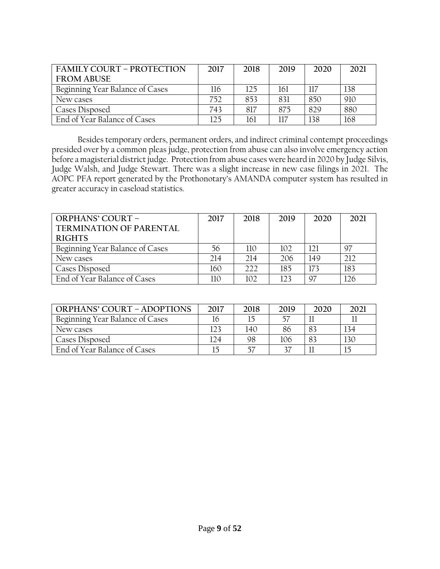| <b>FAMILY COURT - PROTECTION</b> | 2017 | 2018 | 2019 | 2020 | 2021 |
|----------------------------------|------|------|------|------|------|
| <b>FROM ABUSE</b>                |      |      |      |      |      |
| Beginning Year Balance of Cases  | 116  | 125  | 161  | 117  | 138  |
| New cases                        | 752  | 853  | 831  | 850  | 910  |
| Cases Disposed                   | 743  | 817  | 875  | 829  | 880  |
| End of Year Balance of Cases     | 125  | 161  |      | 138  | 168  |

Besides temporary orders, permanent orders, and indirect criminal contempt proceedings presided over by a common pleas judge, protection from abuse can also involve emergency action before a magisterial district judge. Protection from abuse cases were heard in 2020 by Judge Silvis, Judge Walsh, and Judge Stewart. There was a slight increase in new case filings in 2021. The AOPC PFA report generated by the Prothonotary's AMANDA computer system has resulted in greater accuracy in caseload statistics.

| <b>ORPHANS' COURT -</b>         | 2017 | 2018 | 2019 | 2020 | 2021 |
|---------------------------------|------|------|------|------|------|
| <b>TERMINATION OF PARENTAL</b>  |      |      |      |      |      |
| <b>RIGHTS</b>                   |      |      |      |      |      |
| Beginning Year Balance of Cases | 56   | 110  | 102  | 121  | 97   |
| New cases                       | 214  | 214  | 206  | 149  |      |
| Cases Disposed                  | 160  | 222  | 185  | 173  | 183  |
| End of Year Balance of Cases    | 110  | 102  | 123  | 97   | 126  |

| <b>ORPHANS' COURT - ADOPTIONS</b> | 2017 | 2018 | 2019 | 2020 | 2021 |
|-----------------------------------|------|------|------|------|------|
| Beginning Year Balance of Cases   | 16   |      |      |      |      |
| New cases                         | 123  | 140  | 86   | 83   | 134  |
| Cases Disposed                    | 124  | 98   | 106  | 83   | 130  |
| End of Year Balance of Cases      |      |      |      |      | 15   |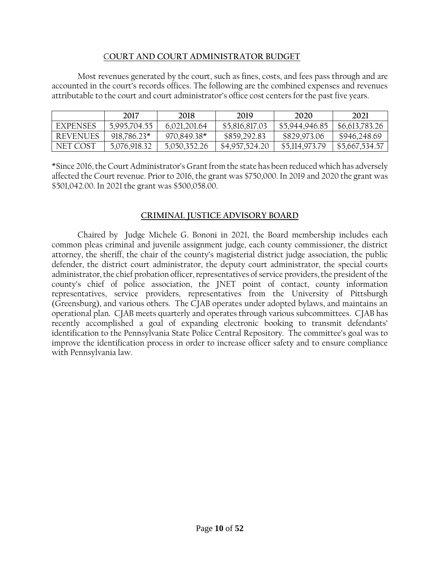#### C**OURT AND COURT ADMINISTRATOR BUDGET**

Most revenues generated by the court, such as fines, costs, and fees pass through and are accounted in the court's records offices. The following are the combined expenses and revenues attributable to the court and court administrator's office cost centers for the past five years.

|                 | 2017          | 2018         | 2019           | 2020           | 2021           |
|-----------------|---------------|--------------|----------------|----------------|----------------|
| <b>EXPENSES</b> | 5,995,704.55  | 6,021,201.64 | \$5,816,817.03 | \$5,944,946.85 | \$6,613,783.26 |
| <b>REVENUES</b> | $918,786.23*$ | 970,849.38*  | \$859,292.83   | \$829,973.06   | \$946,248.69   |
| NET COST        | 5,076,918.32  | 5,050,352.26 | \$4,957,524.20 | \$5,114,973.79 | \$5,667,534.57 |

\*Since 2016, the Court Administrator's Grant from the state has been reduced which has adversely affected the Court revenue. Prior to 2016, the grant was \$750,000. In 2019 and 2020 the grant was \$501,042.00. In 2021 the grant was \$500,058.00.

#### **CRIMINAL JUSTICE ADVISORY BOARD**

Chaired by Judge Michele G. Bononi in 2021, the Board membership includes each common pleas criminal and juvenile assignment judge, each county commissioner, the district attorney, the sheriff, the chair of the county's magisterial district judge association, the public defender, the district court administrator, the deputy court administrator, the special courts administrator, the chief probation officer, representatives of service providers, the president of the county's chief of police association, the JNET point of contact, county information representatives, service providers, representatives from the University of Pittsburgh (Greensburg), and various others. The CJAB operates under adopted bylaws, and maintains an operational plan. CJAB meets quarterly and operates through various subcommittees. CJAB has recently accomplished a goal of expanding electronic booking to transmit defendants' identification to the Pennsylvania State Police Central Repository. The committee's goal was to improve the identification process in order to increase officer safety and to ensure compliance with Pennsylvania law.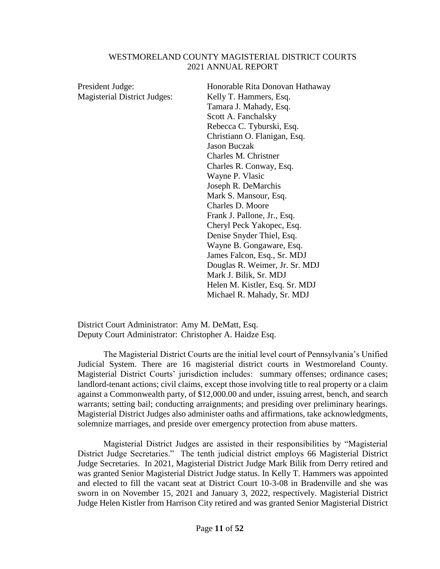#### WESTMORELAND COUNTY MAGISTERIAL DISTRICT COURTS 2021 ANNUAL REPORT

| President Judge:                    | Honorable Rita Donovan Hathaway |
|-------------------------------------|---------------------------------|
| <b>Magisterial District Judges:</b> | Kelly T. Hammers, Esq.          |
|                                     | Tamara J. Mahady, Esq.          |
|                                     | Scott A. Fanchalsky             |
|                                     | Rebecca C. Tyburski, Esq.       |
|                                     | Christiann O. Flanigan, Esq.    |
|                                     | <b>Jason Buczak</b>             |
|                                     | Charles M. Christner            |
|                                     | Charles R. Conway, Esq.         |
|                                     | Wayne P. Vlasic                 |
|                                     | Joseph R. DeMarchis             |
|                                     | Mark S. Mansour, Esq.           |
|                                     | Charles D. Moore                |
|                                     | Frank J. Pallone, Jr., Esq.     |
|                                     | Cheryl Peck Yakopec, Esq.       |
|                                     | Denise Snyder Thiel, Esq.       |
|                                     | Wayne B. Gongaware, Esq.        |
|                                     | James Falcon, Esq., Sr. MDJ     |
|                                     | Douglas R. Weimer, Jr. Sr. MDJ  |
|                                     | Mark J. Bilik, Sr. MDJ          |
|                                     | Helen M. Kistler, Esq. Sr. MDJ  |
|                                     | Michael R. Mahady, Sr. MDJ      |
|                                     |                                 |

District Court Administrator: Amy M. DeMatt, Esq. Deputy Court Administrator: Christopher A. Haidze Esq.

The Magisterial District Courts are the initial level court of Pennsylvania's Unified Judicial System. There are 16 magisterial district courts in Westmoreland County. Magisterial District Courts' jurisdiction includes: summary offenses; ordinance cases; landlord-tenant actions; civil claims, except those involving title to real property or a claim against a Commonwealth party, of \$12,000.00 and under, issuing arrest, bench, and search warrants; setting bail; conducting arraignments; and presiding over preliminary hearings. Magisterial District Judges also administer oaths and affirmations, take acknowledgments, solemnize marriages, and preside over emergency protection from abuse matters.

Magisterial District Judges are assisted in their responsibilities by "Magisterial District Judge Secretaries." The tenth judicial district employs 66 Magisterial District Judge Secretaries. In 2021, Magisterial District Judge Mark Bilik from Derry retired and was granted Senior Magisterial District Judge status. In Kelly T. Hammers was appointed and elected to fill the vacant seat at District Court 10-3-08 in Bradenville and she was sworn in on November 15, 2021 and January 3, 2022, respectively. Magisterial District Judge Helen Kistler from Harrison City retired and was granted Senior Magisterial District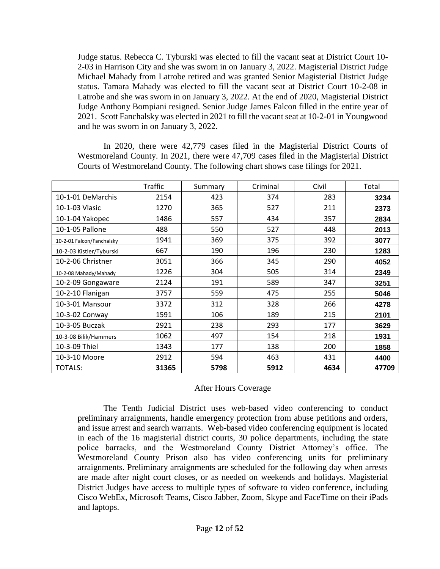Judge status. Rebecca C. Tyburski was elected to fill the vacant seat at District Court 10- 2-03 in Harrison City and she was sworn in on January 3, 2022. Magisterial District Judge Michael Mahady from Latrobe retired and was granted Senior Magisterial District Judge status. Tamara Mahady was elected to fill the vacant seat at District Court 10-2-08 in Latrobe and she was sworn in on January 3, 2022. At the end of 2020, Magisterial District Judge Anthony Bompiani resigned. Senior Judge James Falcon filled in the entire year of 2021. Scott Fanchalsky was elected in 2021 to fill the vacant seat at 10-2-01 in Youngwood and he was sworn in on January 3, 2022.

In 2020, there were 42,779 cases filed in the Magisterial District Courts of Westmoreland County. In 2021, there were 47,709 cases filed in the Magisterial District Courts of Westmoreland County. The following chart shows case filings for 2021.

|                           | <b>Traffic</b> | Summary | Criminal | Civil | Total |
|---------------------------|----------------|---------|----------|-------|-------|
| 10-1-01 DeMarchis         | 2154           | 423     | 374      | 283   | 3234  |
| 10-1-03 Vlasic            | 1270           | 365     | 527      | 211   | 2373  |
| 10-1-04 Yakopec           | 1486           | 557     | 434      | 357   | 2834  |
| 10-1-05 Pallone           | 488            | 550     | 527      | 448   | 2013  |
| 10-2-01 Falcon/Fanchalsky | 1941           | 369     | 375      | 392   | 3077  |
| 10-2-03 Kistler/Tyburski  | 667            | 190     | 196      | 230   | 1283  |
| 10-2-06 Christner         | 3051           | 366     | 345      | 290   | 4052  |
| 10-2-08 Mahady/Mahady     | 1226           | 304     | 505      | 314   | 2349  |
| 10-2-09 Gongaware         | 2124           | 191     | 589      | 347   | 3251  |
| 10-2-10 Flanigan          | 3757           | 559     | 475      | 255   | 5046  |
| 10-3-01 Mansour           | 3372           | 312     | 328      | 266   | 4278  |
| 10-3-02 Conway            | 1591           | 106     | 189      | 215   | 2101  |
| 10-3-05 Buczak            | 2921           | 238     | 293      | 177   | 3629  |
| 10-3-08 Bilik/Hammers     | 1062           | 497     | 154      | 218   | 1931  |
| 10-3-09 Thiel             | 1343           | 177     | 138      | 200   | 1858  |
| 10-3-10 Moore             | 2912           | 594     | 463      | 431   | 4400  |
| <b>TOTALS:</b>            | 31365          | 5798    | 5912     | 4634  | 47709 |

#### After Hours Coverage

The Tenth Judicial District uses web-based video conferencing to conduct preliminary arraignments, handle emergency protection from abuse petitions and orders, and issue arrest and search warrants. Web-based video conferencing equipment is located in each of the 16 magisterial district courts, 30 police departments, including the state police barracks, and the Westmoreland County District Attorney's office. The Westmoreland County Prison also has video conferencing units for preliminary arraignments. Preliminary arraignments are scheduled for the following day when arrests are made after night court closes, or as needed on weekends and holidays. Magisterial District Judges have access to multiple types of software to video conference, including Cisco WebEx, Microsoft Teams, Cisco Jabber, Zoom, Skype and FaceTime on their iPads and laptops.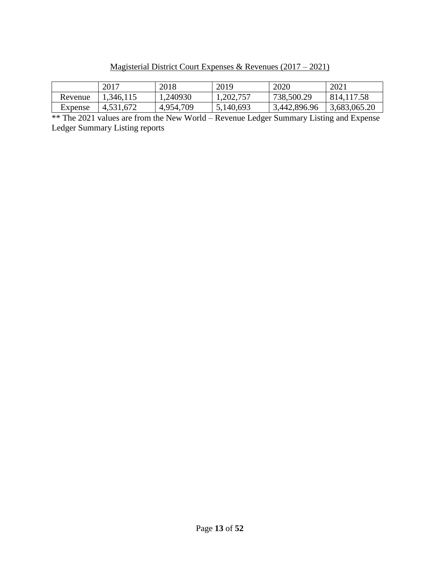Magisterial District Court Expenses & Revenues (2017 – 2021)

|         | 2017      | 2018      | 2019      | 2020         | 2021         |
|---------|-----------|-----------|-----------|--------------|--------------|
| Revenue | .346,115  | 1,240930  | 1,202,757 | 738,500.29   | 814, 117.58  |
| Expense | 4,531,672 | 4,954,709 | 5,140,693 | 3,442,896.96 | 3,683,065.20 |

\*\* The 2021 values are from the New World – Revenue Ledger Summary Listing and Expense Ledger Summary Listing reports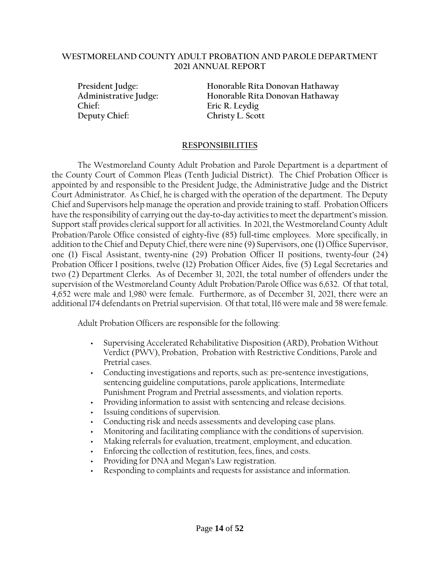#### **WESTMORELAND COUNTY ADULT PROBATION AND PAROLE DEPARTMENT 2021 ANNUAL REPORT**

**Chief: Eric R. Leydig Deputy Chief: Christy L. Scott**

**President Judge: Honorable Rita Donovan Hathaway Administrative Judge: Honorable Rita Donovan Hathaway**

#### **RESPONSIBILITIES**

The Westmoreland County Adult Probation and Parole Department is a department of the County Court of Common Pleas (Tenth Judicial District). The Chief Probation Officer is appointed by and responsible to the President Judge, the Administrative Judge and the District Court Administrator. As Chief, he is charged with the operation of the department. The Deputy Chief and Supervisors help manage the operation and provide training to staff. Probation Officers have the responsibility of carrying out the day-to-day activities to meet the department's mission. Support staff provides clerical support for all activities. In 2021, the Westmoreland County Adult Probation/Parole Office consisted of eighty-five (85) full-time employees. More specifically, in addition to the Chief and Deputy Chief, there were nine (9) Supervisors, one (1) Office Supervisor, one (1) Fiscal Assistant, twenty-nine (29) Probation Officer II positions, twenty-four (24) Probation Officer I positions, twelve (12) Probation Officer Aides, five (5) Legal Secretaries and two (2) Department Clerks. As of December 31, 2021, the total number of offenders under the supervision of the Westmoreland County Adult Probation/Parole Office was 6,632. Of that total, 4,652 were male and 1,980 were female. Furthermore, as of December 31, 2021, there were an additional 174 defendants on Pretrial supervision. Of that total, 116 were male and 58 were female.

Adult Probation Officers are responsible for the following:

- Supervising Accelerated Rehabilitative Disposition (ARD), Probation Without Verdict (PWV), Probation, Probation with Restrictive Conditions, Parole and Pretrial cases.
- Conducting investigations and reports, such as: pre-sentence investigations, sentencing guideline computations, parole applications, Intermediate Punishment Program and Pretrial assessments, and violation reports.
- Providing information to assist with sentencing and release decisions.
- Issuing conditions of supervision.
- Conducting risk and needs assessments and developing case plans.
- Monitoring and facilitating compliance with the conditions of supervision.
- Making referrals for evaluation, treatment, employment, and education.
- Enforcing the collection of restitution, fees, fines, and costs.
- Providing for DNA and Megan's Law registration.
- Responding to complaints and requests for assistance and information.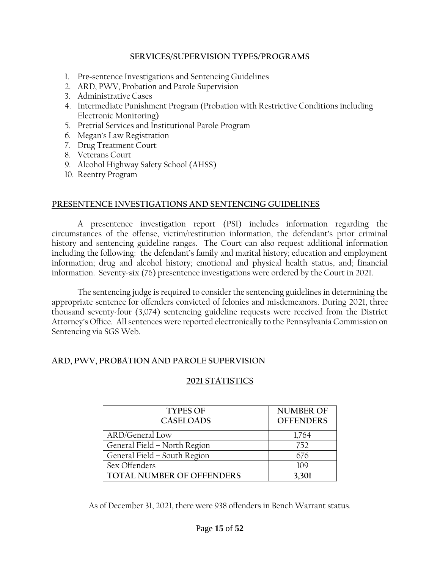#### **SERVICES/SUPERVISION TYPES/PROGRAMS**

- 1. Pre-sentence Investigations and Sentencing Guidelines
- 2. ARD, PWV, Probation and Parole Supervision
- 3. Administrative Cases
- 4. Intermediate Punishment Program (Probation with Restrictive Conditions including Electronic Monitoring)
- 5. Pretrial Services and Institutional Parole Program
- 6. Megan's Law Registration
- 7. Drug Treatment Court
- 8. Veterans Court
- 9. Alcohol Highway Safety School (AHSS)
- 10. Reentry Program

#### **PRESENTENCE INVESTIGATIONS AND SENTENCING GUIDELINES**

A presentence investigation report (PSI) includes information regarding the circumstances of the offense, victim/restitution information, the defendant's prior criminal history and sentencing guideline ranges. The Court can also request additional information including the following: the defendant's family and marital history; education and employment information; drug and alcohol history; emotional and physical health status, and; financial information. Seventy-six (76) presentence investigations were ordered by the Court in 2021.

The sentencing judge is required to consider the sentencing guidelines in determining the appropriate sentence for offenders convicted of felonies and misdemeanors. During 2021, three thousand seventy-four (3,074) sentencing guideline requests were received from the District Attorney's Office. All sentences were reported electronically to the Pennsylvania Commission on Sentencing via SGS Web.

#### **ARD, PWV, PROBATION AND PAROLE SUPERVISION**

### **2021 STATISTICS**

| <b>TYPES OF</b>              | <b>NUMBER OF</b> |
|------------------------------|------------------|
| <b>CASELOADS</b>             | <b>OFFENDERS</b> |
| <b>ARD/General Low</b>       | 1,764            |
| General Field - North Region | 752              |
| General Field - South Region | 676              |
| Sex Offenders                | 109              |
| TOTAL NUMBER OF OFFENDERS    | 3,301            |

As of December 31, 2021, there were 938 offenders in Bench Warrant status.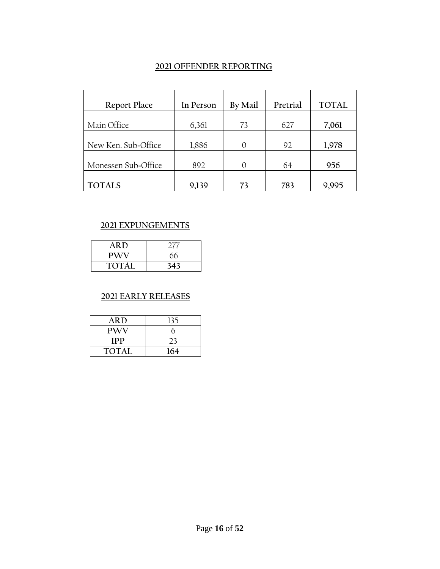#### **2021 OFFENDER REPORTING**

| <b>Report Place</b> | In Person | <b>By Mail</b> | Pretrial | <b>TOTAL</b> |
|---------------------|-----------|----------------|----------|--------------|
| Main Office         | 6,361     | 73             | 627      | 7,061        |
| New Ken. Sub-Office | 1,886     | $\Omega$       | 92       | 1,978        |
| Monessen Sub-Office | 892       | ∩              | 64       | 956          |
| <b>TOTALS</b>       | 9,139     | 73             | 783      | 9,995        |

### **2021 EXPUNGEMENTS**

| <b>ARD</b>   | 27' |
|--------------|-----|
| <b>PWV</b>   | 66  |
| <b>TOTAL</b> | 343 |

#### **2021 EARLY RELEASES**

| ARD.         | 135 |
|--------------|-----|
| <b>PWV</b>   | h   |
| <b>IPP</b>   | 23  |
| <b>TOTAL</b> | 164 |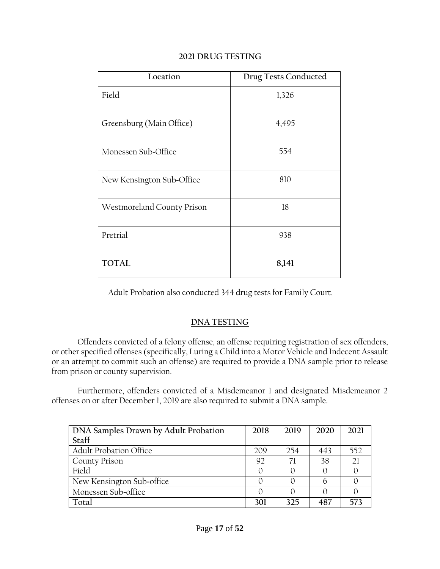| 2021 DRUG TESTING |
|-------------------|
|-------------------|

| Location                   | <b>Drug Tests Conducted</b> |
|----------------------------|-----------------------------|
| Field                      | 1,326                       |
| Greensburg (Main Office)   | 4,495                       |
| Monessen Sub-Office        | 554                         |
| New Kensington Sub-Office  | 810                         |
| Westmoreland County Prison | 18                          |
| Pretrial                   | 938                         |
| <b>TOTAL</b>               | 8,141                       |

Adult Probation also conducted 344 drug tests for Family Court.

### **DNA TESTING**

Offenders convicted of a felony offense, an offense requiring registration of sex offenders, or other specified offenses (specifically, Luring a Child into a Motor Vehicle and Indecent Assault or an attempt to commit such an offense) are required to provide a DNA sample prior to release from prison or county supervision.

Furthermore, offenders convicted of a Misdemeanor 1 and designated Misdemeanor 2 offenses on or after December 1, 2019 are also required to submit a DNA sample.

| DNA Samples Drawn by Adult Probation | 2018 | 2019 | 2020 | 2021 |
|--------------------------------------|------|------|------|------|
| Staff                                |      |      |      |      |
| <b>Adult Probation Office</b>        | 209  | 254  | 443  | 552  |
| <b>County Prison</b>                 | 92   |      | 38   | 21   |
| Field                                |      |      |      |      |
| New Kensington Sub-office            |      |      | n    |      |
| Monessen Sub-office                  |      |      |      |      |
| Total                                | 301  | 325  | 487  | 573  |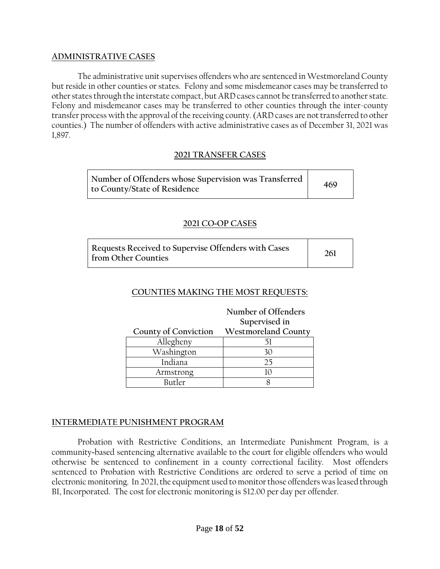#### **ADMINISTRATIVE CASES**

The administrative unit supervises offenders who are sentenced in Westmoreland County but reside in other counties or states. Felony and some misdemeanor cases may be transferred to other states through the interstate compact, but ARD cases cannot be transferred to another state. Felony and misdemeanor cases may be transferred to other counties through the inter-county transfer process with the approval of the receiving county. (ARD cases are not transferred to other counties.) The number of offenders with active administrative cases as of December 31, 2021 was 1,897.

#### **2021 TRANSFER CASES**

| Number of Offenders whose Supervision was Transferred  <br>469<br>to County/State of Residence |  |
|------------------------------------------------------------------------------------------------|--|
|------------------------------------------------------------------------------------------------|--|

#### **2021 CO-OP CASES**

| Requests Received to Supervise Offenders with Cases<br>from Other Counties | 261 |
|----------------------------------------------------------------------------|-----|
|----------------------------------------------------------------------------|-----|

#### **COUNTIES MAKING THE MOST REQUESTS:**

|                                          | Number of Offenders |  |  |  |
|------------------------------------------|---------------------|--|--|--|
|                                          | Supervised in       |  |  |  |
| County of Conviction Westmoreland County |                     |  |  |  |
| Allegheny                                |                     |  |  |  |
| Washington                               |                     |  |  |  |
| Indiana                                  | つら                  |  |  |  |
| Armstrong                                |                     |  |  |  |
| Rutler                                   |                     |  |  |  |

#### **INTERMEDIATE PUNISHMENT PROGRAM**

Probation with Restrictive Conditions, an Intermediate Punishment Program, is a community-based sentencing alternative available to the court for eligible offenders who would otherwise be sentenced to confinement in a county correctional facility. Most offenders sentenced to Probation with Restrictive Conditions are ordered to serve a period of time on electronic monitoring. In 2021, the equipment used to monitor those offenders was leased through BI, Incorporated. The cost for electronic monitoring is \$12.00 per day per offender.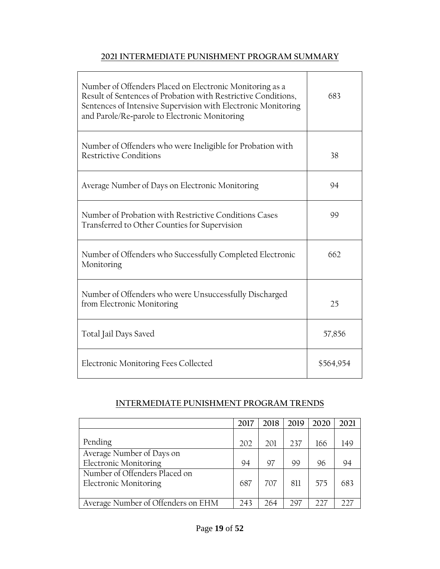### **2021 INTERMEDIATE PUNISHMENT PROGRAM SUMMARY**

| Number of Offenders Placed on Electronic Monitoring as a<br>Result of Sentences of Probation with Restrictive Conditions,<br>Sentences of Intensive Supervision with Electronic Monitoring<br>and Parole/Re-parole to Electronic Monitoring | 683       |
|---------------------------------------------------------------------------------------------------------------------------------------------------------------------------------------------------------------------------------------------|-----------|
| Number of Offenders who were Ineligible for Probation with<br><b>Restrictive Conditions</b>                                                                                                                                                 | 38        |
| Average Number of Days on Electronic Monitoring                                                                                                                                                                                             | 94        |
| Number of Probation with Restrictive Conditions Cases<br>Transferred to Other Counties for Supervision                                                                                                                                      | 99        |
| Number of Offenders who Successfully Completed Electronic<br>Monitoring                                                                                                                                                                     | 662       |
| Number of Offenders who were Unsuccessfully Discharged<br>from Electronic Monitoring                                                                                                                                                        | 25        |
| Total Jail Days Saved                                                                                                                                                                                                                       | 57,856    |
| Electronic Monitoring Fees Collected                                                                                                                                                                                                        | \$564,954 |

### **INTERMEDIATE PUNISHMENT PROGRAM TRENDS**

|                                    | 2017 | 2018 | 2019 | 2020 | 2021 |
|------------------------------------|------|------|------|------|------|
|                                    |      |      |      |      |      |
| Pending                            | 202  | 201  | 237  | 166  | 149  |
| Average Number of Days on          |      |      |      |      |      |
| <b>Electronic Monitoring</b>       | 94   | 97   | 99   | 96   | 94   |
| Number of Offenders Placed on      |      |      |      |      |      |
| <b>Electronic Monitoring</b>       | 687  | 707  | 811  | 575  | 683  |
|                                    |      |      |      |      |      |
| Average Number of Offenders on EHM | 243  | 264  | 297  | 227  |      |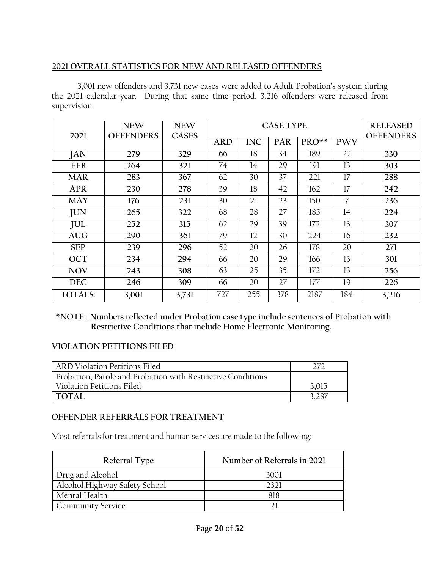### **2021 OVERALL STATISTICS FOR NEW AND RELEASED OFFENDERS**

3,001 new offenders and 3,731 new cases were added to Adult Probation's system during the 2021 calendar year. During that same time period, 3,216 offenders were released from supervision.

| 2021           | <b>NEW</b><br><b>OFFENDERS</b> | <b>NEW</b><br><b>CASES</b> | <b>CASE TYPE</b> |            |            |         |            | <b>RELEASED</b><br><b>OFFENDERS</b> |
|----------------|--------------------------------|----------------------------|------------------|------------|------------|---------|------------|-------------------------------------|
|                |                                |                            | <b>ARD</b>       | <b>INC</b> | <b>PAR</b> | $PRO**$ | <b>PWV</b> |                                     |
| JAN            | 279                            | 329                        | 66               | 18         | 34         | 189     | 22         | 330                                 |
| FEB            | 264                            | 321                        | 74               | 14         | 29         | 191     | 13         | 303                                 |
| <b>MAR</b>     | 283                            | 367                        | 62               | 30         | 37         | 221     | 17         | 288                                 |
| <b>APR</b>     | 230                            | 278                        | 39               | 18         | 42         | 162     | 17         | 242                                 |
| <b>MAY</b>     | 176                            | 231                        | 30               | 21         | 23         | 150     | 7          | 236                                 |
| <b>JUN</b>     | 265                            | 322                        | 68               | 28         | 27         | 185     | 14         | 224                                 |
| <b>JUL</b>     | 252                            | 315                        | 62               | 29         | 39         | 172     | 13         | 307                                 |
| <b>AUG</b>     | 290                            | 361                        | 79               | 12         | 30         | 224     | 16         | 232                                 |
| <b>SEP</b>     | 239                            | 296                        | 52               | 20         | 26         | 178     | 20         | 271                                 |
| <b>OCT</b>     | 234                            | 294                        | 66               | 20         | 29         | 166     | 13         | 301                                 |
| <b>NOV</b>     | 243                            | 308                        | 63               | 25         | 35         | 172     | 13         | 256                                 |
| <b>DEC</b>     | 246                            | 309                        | 66               | 20         | 27         | 177     | 19         | 226                                 |
| <b>TOTALS:</b> | 3,001                          | 3,731                      | 727              | 255        | 378        | 2187    | 184        | 3,216                               |

**\*NOTE: Numbers reflected under Probation case type include sentences of Probation with Restrictive Conditions that include Home Electronic Monitoring.**

### **VIOLATION PETITIONS FILED**

| ARD Violation Petitions Filed                               |       |
|-------------------------------------------------------------|-------|
| Probation, Parole and Probation with Restrictive Conditions |       |
| Violation Petitions Filed                                   | 3,015 |
| <b>TOTAL</b>                                                | 3,287 |

### **OFFENDER REFERRALS FOR TREATMENT**

Most referrals for treatment and human services are made to the following:

| Referral Type                 | Number of Referrals in 2021 |
|-------------------------------|-----------------------------|
| Drug and Alcohol              | 3001                        |
| Alcohol Highway Safety School |                             |
| Mental Health                 | 818                         |
| Community Service             |                             |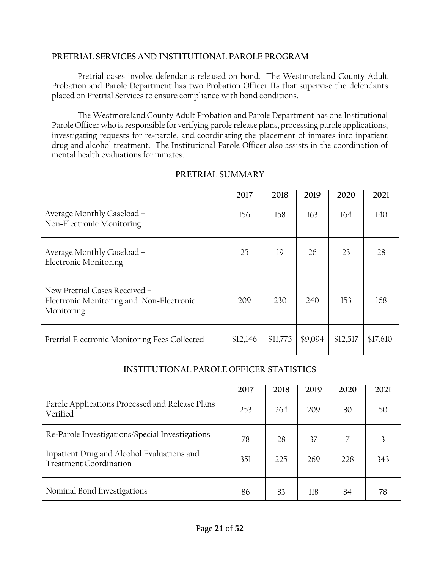#### **PRETRIAL SERVICES AND INSTITUTIONAL PAROLE PROGRAM**

Pretrial cases involve defendants released on bond. The Westmoreland County Adult Probation and Parole Department has two Probation Officer IIs that supervise the defendants placed on Pretrial Services to ensure compliance with bond conditions.

The Westmoreland County Adult Probation and Parole Department has one Institutional Parole Officer who is responsible for verifying parole release plans, processing parole applications, investigating requests for re-parole, and coordinating the placement of inmates into inpatient drug and alcohol treatment. The Institutional Parole Officer also assists in the coordination of mental health evaluations for inmates.

|                                                                                         | 2017     | 2018     | 2019    | 2020     | 2021     |
|-----------------------------------------------------------------------------------------|----------|----------|---------|----------|----------|
| Average Monthly Caseload –<br>Non-Electronic Monitoring                                 | 156      | 158      | 163     | 164      | 140      |
| Average Monthly Caseload -<br><b>Electronic Monitoring</b>                              | 25       | 19       | 26      | 23       | 28       |
| New Pretrial Cases Received -<br>Electronic Monitoring and Non-Electronic<br>Monitoring | 209      | 230      | 240     | 153      | 168      |
| Pretrial Electronic Monitoring Fees Collected                                           | \$12,146 | \$11,775 | \$9,094 | \$12,517 | \$17,610 |

### **PRETRIAL SUMMARY**

### **INSTITUTIONAL PAROLE OFFICER STATISTICS**

|                                                                             | 2017 | 2018 | 2019 | 2020 | 2021 |
|-----------------------------------------------------------------------------|------|------|------|------|------|
| Parole Applications Processed and Release Plans<br>Verified                 | 253  | 264  | 209  | 80   | 50   |
| Re-Parole Investigations/Special Investigations                             | 78   | 28   | 37   |      |      |
| Inpatient Drug and Alcohol Evaluations and<br><b>Treatment Coordination</b> | 351  | 225  | 269  | 228  | 343  |
| Nominal Bond Investigations                                                 | 86   | 83   | 118  | 84   | 78   |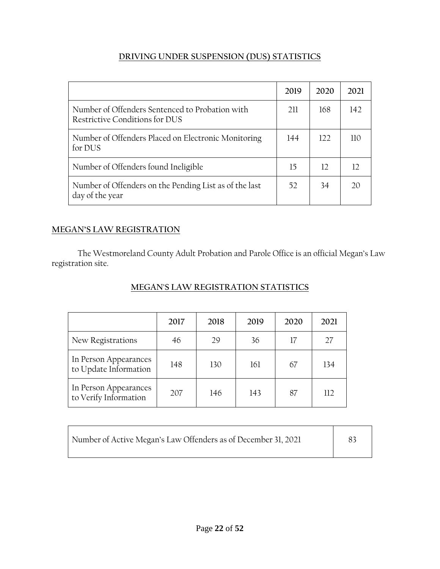### **DRIVING UNDER SUSPENSION (DUS) STATISTICS**

|                                                                                   | 2019 | 2020 | 2021 |
|-----------------------------------------------------------------------------------|------|------|------|
| Number of Offenders Sentenced to Probation with<br>Restrictive Conditions for DUS | 211  | 168  | 142  |
| Number of Offenders Placed on Electronic Monitoring<br>for DUS                    | 144  | 122  | 11O  |
| Number of Offenders found Ineligible                                              | 15   | 12   |      |
| Number of Offenders on the Pending List as of the last<br>day of the year         | 52   | 34   |      |

### **MEGAN'S LAW REGISTRATION**

The Westmoreland County Adult Probation and Parole Office is an official Megan's Law registration site.

### **MEGAN'S LAW REGISTRATION STATISTICS**

|                                                | 2017 | 2018 | 2019 | 2020 | 2021 |
|------------------------------------------------|------|------|------|------|------|
| New Registrations                              | 46   | 79   | 36   | 17   | 27   |
| In Person Appearances<br>to Update Information | 148  | 130  | 161  | 67   | 134  |
| In Person Appearances<br>to Verify Information | 207  | 146  | 143  | 87   | 112  |

| Number of Active Megan's Law Offenders as of December 31, 2021 |  |
|----------------------------------------------------------------|--|
|----------------------------------------------------------------|--|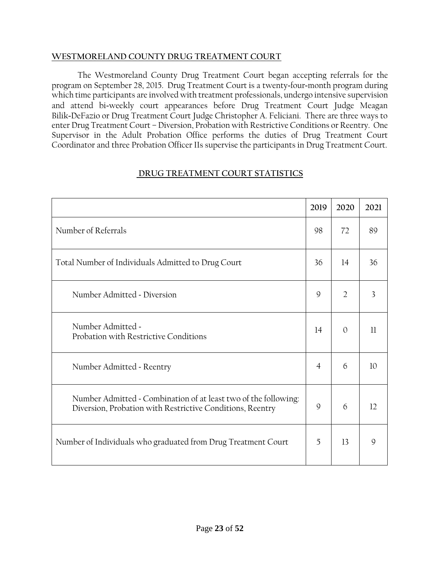#### **WESTMORELAND COUNTY DRUG TREATMENT COURT**

The Westmoreland County Drug Treatment Court began accepting referrals for the program on September 28, 2015. Drug Treatment Court is a twenty-four-month program during which time participants are involved with treatment professionals, undergo intensive supervision and attend bi-weekly court appearances before Drug Treatment Court Judge Meagan Bilik-DeFazio or Drug Treatment Court Judge Christopher A. Feliciani. There are three ways to enter Drug Treatment Court – Diversion, Probation with Restrictive Conditions or Reentry. One Supervisor in the Adult Probation Office performs the duties of Drug Treatment Court Coordinator and three Probation Officer IIs supervise the participants in Drug Treatment Court.

|--|

|                                                                                                                              | 2019           | 2020           | 2021 |
|------------------------------------------------------------------------------------------------------------------------------|----------------|----------------|------|
| Number of Referrals                                                                                                          | 98             | 72             | 89   |
| Total Number of Individuals Admitted to Drug Court                                                                           | 36             | 14             | 36   |
| Number Admitted - Diversion                                                                                                  | 9              | $\overline{2}$ | 3    |
| Number Admitted -<br>Probation with Restrictive Conditions                                                                   | 14             | $\Omega$       | 11   |
| Number Admitted - Reentry                                                                                                    | $\overline{4}$ | 6              | 10   |
| Number Admitted - Combination of at least two of the following:<br>Diversion, Probation with Restrictive Conditions, Reentry | 9              | 6              | 12   |
| Number of Individuals who graduated from Drug Treatment Court                                                                | 5              | 13             | 9    |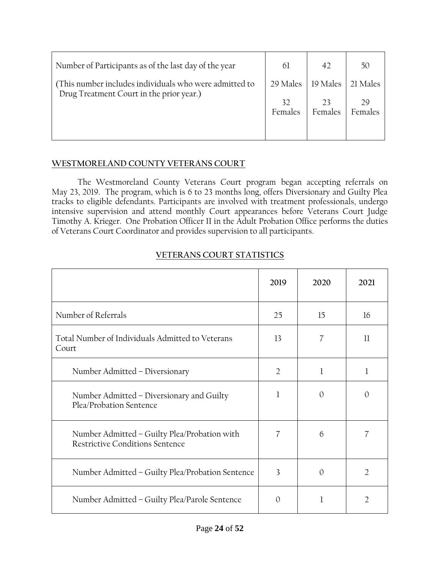| Number of Participants as of the last day of the year                                              | 61            | 42       | 50            |
|----------------------------------------------------------------------------------------------------|---------------|----------|---------------|
| (This number includes individuals who were admitted to<br>Drug Treatment Court in the prior year.) | 29 Males      | 19 Males | 21 Males      |
|                                                                                                    | 32<br>Females | Females  | 29<br>Females |
|                                                                                                    |               |          |               |

### **WESTMORELAND COUNTY VETERANS COURT**

The Westmoreland County Veterans Court program began accepting referrals on May 23, 2019. The program, which is 6 to 23 months long, offers Diversionary and Guilty Plea tracks to eligible defendants. Participants are involved with treatment professionals, undergo intensive supervision and attend monthly Court appearances before Veterans Court Judge Timothy A. Krieger. One Probation Officer II in the Adult Probation Office performs the duties of Veterans Court Coordinator and provides supervision to all participants.

|                                                                                        | 2019           | 2020     | 2021     |
|----------------------------------------------------------------------------------------|----------------|----------|----------|
| Number of Referrals                                                                    | 25             | 15       | 16       |
| Total Number of Individuals Admitted to Veterans<br>Court                              |                | 7        | 11       |
| Number Admitted - Diversionary                                                         | $\overline{2}$ | 1        | 1        |
| Number Admitted – Diversionary and Guilty<br>Plea/Probation Sentence                   | 1              | $\Omega$ | $\Omega$ |
| Number Admitted - Guilty Plea/Probation with<br><b>Restrictive Conditions Sentence</b> | 7              | 6        | 7        |
| Number Admitted - Guilty Plea/Probation Sentence                                       | 3              | $\Omega$ | 2        |
| Number Admitted – Guilty Plea/Parole Sentence                                          | $\Omega$       | 1        | 2        |

### **VETERANS COURT STATISTICS**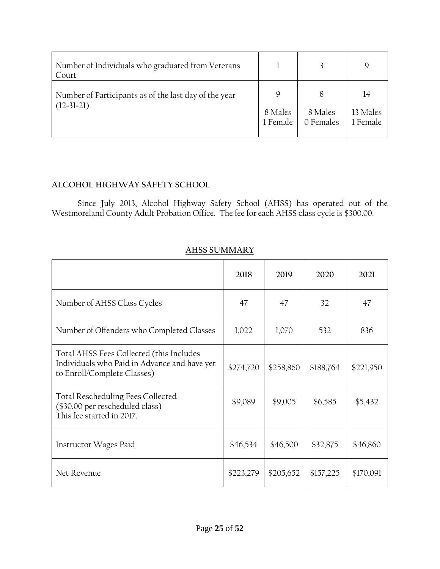| Number of Individuals who graduated from Veterans<br>Court            |                     |                      | Q                    |
|-----------------------------------------------------------------------|---------------------|----------------------|----------------------|
| Number of Participants as of the last day of the year<br>$(12-31-21)$ | 9                   |                      | 14                   |
|                                                                       | 8 Males<br>1 Female | 8 Males<br>0 Females | 13 Males<br>1 Female |

### **ALCOHOL HIGHWAY SAFETY SCHOOL**

Since July 2013, Alcohol Highway Safety School (AHSS) has operated out of the Westmoreland County Adult Probation Office. The fee for each AHSS class cycle is \$300.00.

|                                                                                                                         | 2018      | 2019      | 2020      | 2021      |
|-------------------------------------------------------------------------------------------------------------------------|-----------|-----------|-----------|-----------|
| Number of AHSS Class Cycles                                                                                             | 47        | 47        | 32        | 47        |
| Number of Offenders who Completed Classes                                                                               | 1,022     | 1,070     | 532       | 836       |
| Total AHSS Fees Collected (this Includes<br>Individuals who Paid in Advance and have yet<br>to Enroll/Complete Classes) | \$274,720 | \$258,860 | \$188,764 | \$221,950 |
| <b>Total Rescheduling Fees Collected</b><br>(\$30.00 per rescheduled class)<br>This fee started in 2017.                | \$9,089   | \$9,005   | \$6,585   | \$5,432   |
| Instructor Wages Paid                                                                                                   | \$46,534  | \$46,500  | \$32,875  | \$46,860  |
| Net Revenue                                                                                                             | \$223,279 | \$205,652 | \$157,225 | \$170,091 |

# **AHSS SUMMARY**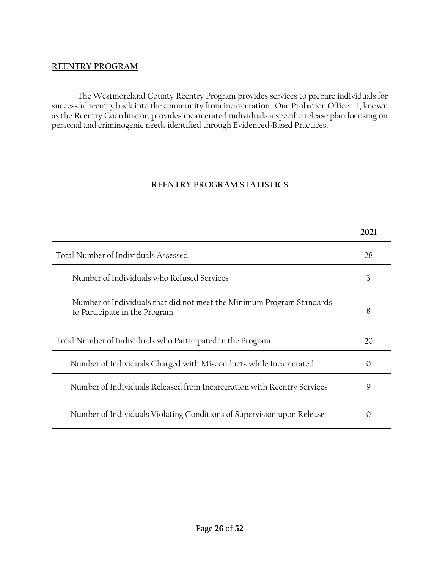#### **REENTRY PROGRAM**

The Westmoreland County Reentry Program provides services to prepare individuals for successful reentry back into the community from incarceration. One Probation Officer II, known as the Reentry Coordinator, provides incarcerated individuals a specific release plan focusing on personal and criminogenic needs identified through Evidenced-Based Practices.

### **REENTRY PROGRAM STATISTICS**

|                                                                                                         | 2021     |
|---------------------------------------------------------------------------------------------------------|----------|
| Total Number of Individuals Assessed                                                                    | 28       |
| Number of Individuals who Refused Services                                                              | 3        |
| Number of Individuals that did not meet the Minimum Program Standards<br>to Participate in the Program. | 8        |
| Total Number of Individuals who Participated in the Program                                             | 20       |
| Number of Individuals Charged with Misconducts while Incarcerated                                       | $\Omega$ |
| Number of Individuals Released from Incarceration with Reentry Services                                 | 9        |
| Number of Individuals Violating Conditions of Supervision upon Release                                  | $\Omega$ |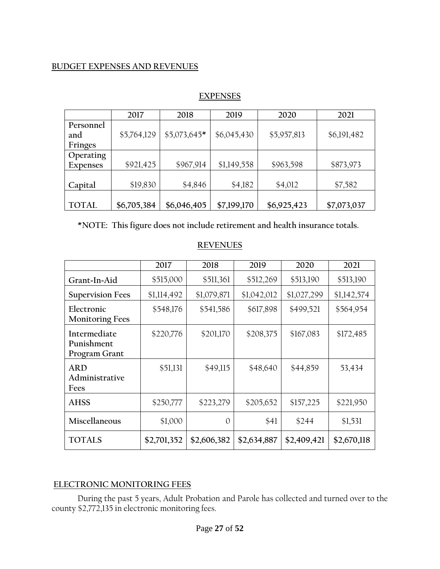#### **BUDGET EXPENSES AND REVENUES**

|                 | 2017        | 2018          | 2019        | 2020        | 2021        |
|-----------------|-------------|---------------|-------------|-------------|-------------|
| Personnel       |             |               |             |             |             |
| and             | \$5,764,129 | $$5,073,645*$ | \$6,045,430 | \$5,957,813 | \$6,191,482 |
| Fringes         |             |               |             |             |             |
| Operating       |             |               |             |             |             |
| <b>Expenses</b> | \$921,425   | \$967,914     | \$1,149,558 | \$963,598   | \$873,973   |
|                 |             |               |             |             |             |
| Capital         | \$19,830    | \$4,846       | \$4,182     | \$4,012     | \$7,582     |
|                 |             |               |             |             |             |
| <b>TOTAL</b>    | \$6,705,384 | \$6,046,405   | \$7,199,170 | \$6,925,423 | \$7,073,037 |

#### **EXPENSES**

**\*NOTE: This figure does not include retirement and health insurance totals.**

|                                             | 2017        | 2018        | 2019        | 2020        | 2021        |
|---------------------------------------------|-------------|-------------|-------------|-------------|-------------|
| Grant-In-Aid                                | \$515,000   | \$511,361   | \$512,269   | \$513,190   | \$513,190   |
| <b>Supervision Fees</b>                     | \$1,114,492 | \$1,079,871 | \$1,042,012 | \$1,027,299 | \$1,142,574 |
| Electronic<br><b>Monitoring Fees</b>        | \$548,176   | \$541,586   | \$617,898   | \$499,521   | \$564,954   |
| Intermediate<br>Punishment<br>Program Grant | \$220,776   | \$201,170   | \$208,375   | \$167,083   | \$172,485   |
| <b>ARD</b><br>Administrative<br>Fees        | \$51,131    | \$49,115    | \$48,640    | \$44,859    | 53,434      |
| <b>AHSS</b>                                 | \$250,777   | \$223,279   | \$205,652   | \$157,225   | \$221,950   |
| Miscellaneous                               | \$1,000     | $\Omega$    | \$41        | \$244       | \$1,531     |
| <b>TOTALS</b>                               | \$2,701,352 | \$2,606,382 | \$2,634,887 | \$2,409,421 | \$2,670,118 |

#### **REVENUES**

### **ELECTRONIC MONITORING FEES**

During the past 5 years, Adult Probation and Parole has collected and turned over to the county \$2,772,135 in electronic monitoring fees.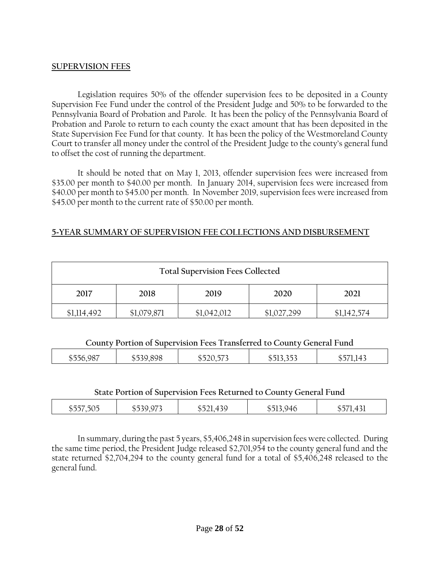#### **SUPERVISION FEES**

Legislation requires 50% of the offender supervision fees to be deposited in a County Supervision Fee Fund under the control of the President Judge and 50% to be forwarded to the Pennsylvania Board of Probation and Parole. It has been the policy of the Pennsylvania Board of Probation and Parole to return to each county the exact amount that has been deposited in the State Supervision Fee Fund for that county. It has been the policy of the Westmoreland County Court to transfer all money under the control of the President Judge to the county's general fund to offset the cost of running the department.

It should be noted that on May 1, 2013, offender supervision fees were increased from \$35.00 per month to \$40.00 per month. In January 2014, supervision fees were increased from \$40.00 per month to \$45.00 per month. In November 2019, supervision fees were increased from \$45.00 per month to the current rate of \$50.00 per month.

#### **5-YEAR SUMMARY OF SUPERVISION FEE COLLECTIONS AND DISBURSEMENT**

|                                      | <b>Total Supervision Fees Collected</b> |             |             |             |  |  |  |  |  |  |
|--------------------------------------|-----------------------------------------|-------------|-------------|-------------|--|--|--|--|--|--|
| 2017<br>2018<br>2021<br>2019<br>2020 |                                         |             |             |             |  |  |  |  |  |  |
| \$1,114,492                          | \$1,079,871                             | \$1,042,012 | \$1,027,299 | \$1,142,574 |  |  |  |  |  |  |

#### **County Portion of Supervision Fees Transferred to County General Fund**

| $\sim$ $\sim$<br>$\cdots$<br>11.<br>חר<br>$\psi$ .<br>◡<br>-<br>$\sim$<br>$\mathbf{r}$ | $- - -$<br>$\sim$ $\sim$ $\sim$<br>-<br>$\overline{\phantom{a}}$<br>- - - | $\psi -$<br>. .<br>. |
|----------------------------------------------------------------------------------------|---------------------------------------------------------------------------|----------------------|
|----------------------------------------------------------------------------------------|---------------------------------------------------------------------------|----------------------|

#### **State Portion of Supervision Fees Returned to County General Fund**

| $\sim$ $ \sim$<br>$\sim$ $\sim$<br>$  -$<br>.<br>. .<br>. J Т<br>1 U<br>ッシン<br>. I J<br>$\vee$<br>ر ر<br>$\sim$<br>-<br>.<br>.<br><u>.</u><br>$\sim$<br>--- |
|-------------------------------------------------------------------------------------------------------------------------------------------------------------|
|-------------------------------------------------------------------------------------------------------------------------------------------------------------|

In summary, during the past 5 years, \$5,406,248 in supervision fees were collected. During the same time period, the President Judge released \$2,701,954 to the county general fund and the state returned \$2,704,294 to the county general fund for a total of \$5,406,248 released to the general fund.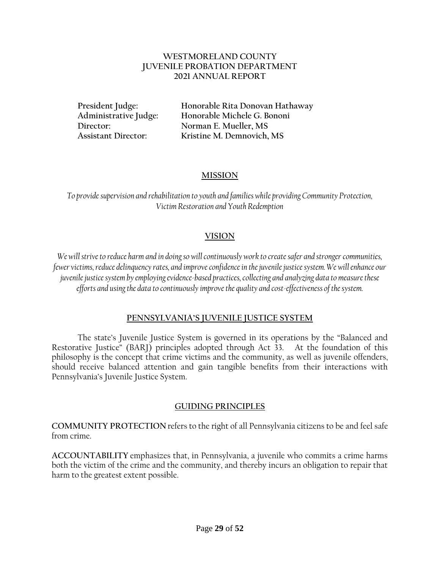#### **WESTMORELAND COUNTY JUVENILE PROBATION DEPARTMENT 2021 ANNUAL REPORT**

**President Judge: Honorable Rita Donovan Hathaway Administrative Judge: Honorable Michele G. Bononi Director: Norman E. Mueller, MS Assistant Director: Kristine M. Demnovich, MS**

#### **MISSION**

*To provide supervision and rehabilitation to youth and families while providing Community Protection, Victim Restoration and Youth Redemption*

#### **VISION**

*We will strive to reduce harm and in doing so will continuously work to create safer and stronger communities, fewer victims, reduce delinquency rates, and improve confidence in the juvenile justice system. We will enhance our juvenile justice system by employing evidence-based practices, collecting and analyzing data to measure these efforts and usingthe data to continuously improve the quality and cost-effectiveness of the system.*

#### **PENNSYLVANIA'S JUVENILE JUSTICE SYSTEM**

The state's Juvenile Justice System is governed in its operations by the "Balanced and Restorative Justice" (BARJ) principles adopted through Act 33. At the foundation of this philosophy is the concept that crime victims and the community, as well as juvenile offenders, should receive balanced attention and gain tangible benefits from their interactions with Pennsylvania's Juvenile Justice System.

#### **GUIDING PRINCIPLES**

**COMMUNITY PROTECTION** refers to the right of all Pennsylvania citizens to be and feel safe from crime.

**ACCOUNTABILITY** emphasizes that, in Pennsylvania, a juvenile who commits a crime harms both the victim of the crime and the community, and thereby incurs an obligation to repair that harm to the greatest extent possible.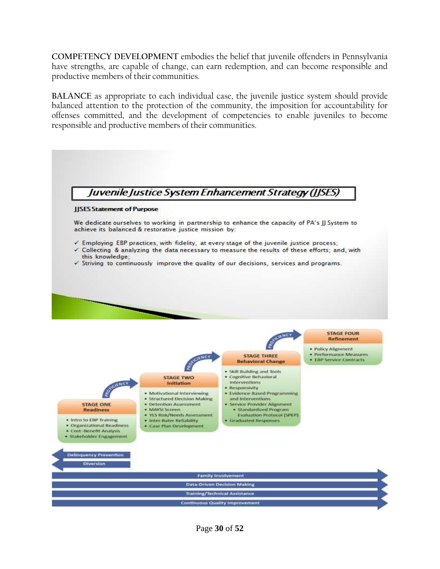**COMPETENCY DEVELOPMENT** embodies the belief that juvenile offenders in Pennsylvania have strengths, are capable of change, can earn redemption, and can become responsible and productive members of their communities.

**BALANCE** as appropriate to each individual case, the juvenile justice system should provide balanced attention to the protection of the community, the imposition for accountability for offenses committed, and the development of competencies to enable juveniles to become responsible and productive members of their communities.

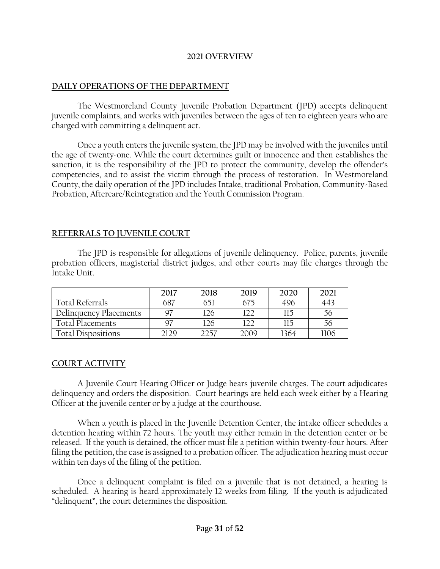#### **2021 OVERVIEW**

#### **DAILY OPERATIONS OF THE DEPARTMENT**

The Westmoreland County Juvenile Probation Department (JPD) accepts delinquent juvenile complaints, and works with juveniles between the ages of ten to eighteen years who are charged with committing a delinquent act.

Once a youth enters the juvenile system, the JPD may be involved with the juveniles until the age of twenty-one. While the court determines guilt or innocence and then establishes the sanction, it is the responsibility of the JPD to protect the community, develop the offender's competencies, and to assist the victim through the process of restoration. In Westmoreland County, the daily operation of the JPD includes Intake, traditional Probation, Community-Based Probation, Aftercare/Reintegration and the Youth Commission Program.

#### **REFERRALS TO JUVENILE COURT**

The JPD is responsible for allegations of juvenile delinquency. Police, parents, juvenile probation officers, magisterial district judges, and other courts may file charges through the Intake Unit.

|                        | 2017 | 2018 | 2019 | 2020 | 2021 |
|------------------------|------|------|------|------|------|
| Total Referrals        | 687  | 651  | 675  | 496  | 441  |
| Delinquency Placements | Q7   | 126  | 122  | 115  | 56   |
| Total Placements       | Q7   | 126  | 122  | 115  | 56   |
| Total Dispositions     | 2129 | 2257 | 2009 | 1364 | 1106 |

#### **COURT ACTIVITY**

A Juvenile Court Hearing Officer or Judge hears juvenile charges. The court adjudicates delinquency and orders the disposition. Court hearings are held each week either by a Hearing Officer at the juvenile center or by a judge at the courthouse.

When a youth is placed in the Juvenile Detention Center, the intake officer schedules a detention hearing within 72 hours. The youth may either remain in the detention center or be released. If the youth is detained, the officer must file a petition within twenty-four hours. After filing the petition, the case is assigned to a probation officer. The adjudication hearing must occur within ten days of the filing of the petition.

Once a delinquent complaint is filed on a juvenile that is not detained, a hearing is scheduled. A hearing is heard approximately 12 weeks from filing. If the youth is adjudicated "delinquent", the court determines the disposition.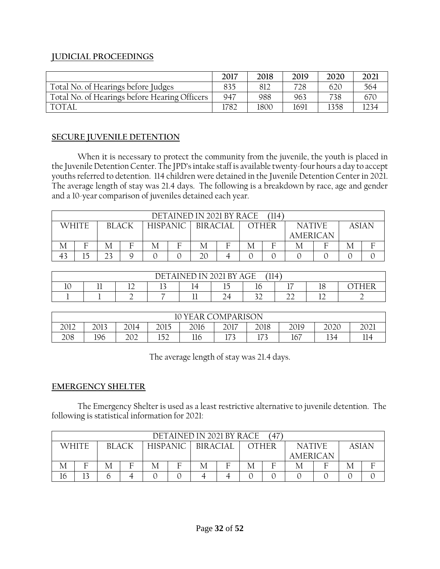### **JUDICIAL PROCEEDINGS**

|                                               | 2017 | 2018 | 2019 | 2020 | 202 <sup>1</sup> |
|-----------------------------------------------|------|------|------|------|------------------|
| Total No. of Hearings before Judges           | 835  |      | 728  | 620  | 564              |
| Total No. of Hearings before Hearing Officers | 947  | 988  | 963  | 738  | 670              |
| <b>TOTAI</b>                                  | 782  | 1800 | 1691 | 1358 |                  |

### **SECURE JUVENILE DETENTION**

When it is necessary to protect the community from the juvenile, the youth is placed in the Juvenile Detention Center. The JPD's intake staff is available twenty-four hours a day to accept youths referred to detention. 114 children were detained in the Juvenile Detention Center in 2021. The average length of stay was 21.4 days. The following is a breakdown by race, age and gender and a 10-year comparison of juveniles detained each year.

| DETAINED IN 2021 BY RACE |  |                          |  |  |                 |   |   |       |  |               |              |  |  |
|--------------------------|--|--------------------------|--|--|-----------------|---|---|-------|--|---------------|--------------|--|--|
| WHITE                    |  | <b>HISPANIC</b><br>RIACK |  |  | <b>BIRACIAL</b> |   |   | OTHFR |  | <b>NATIVE</b> | <b>ASIAN</b> |  |  |
|                          |  |                          |  |  |                 |   |   |       |  | AMERICAN      |              |  |  |
| Е                        |  | F                        |  |  |                 | Е | М | F     |  |               |              |  |  |
| 5                        |  |                          |  |  | 20              |   |   |       |  |               |              |  |  |

|                                                                                                   | $^{\prime}$ ll4<br>$\overline{\phantom{a}}$<br>$\mathbf{D}\mathbf{V}$<br>$\overline{\phantom{a}}$<br>$\overline{\phantom{0}}$<br><b>۱н</b><br><b>.</b> H<br>ᆍᄇ |  |   |     |   |              |              |                |  |  |  |  |  |
|---------------------------------------------------------------------------------------------------|----------------------------------------------------------------------------------------------------------------------------------------------------------------|--|---|-----|---|--------------|--------------|----------------|--|--|--|--|--|
| $-$<br>$\sim$<br>$\sim$<br>$\overline{1}$ $\overline{C}$<br>-<br>10<br>14<br>ТC<br>$\cdots$<br>-- |                                                                                                                                                                |  |   |     |   |              |              |                |  |  |  |  |  |
|                                                                                                   |                                                                                                                                                                |  | - | -44 | ∸ | $\sim$<br>-- | $\sim$<br>-- | $\overline{1}$ |  |  |  |  |  |

|                                                                           | <b>COMPARISON</b><br>YEAR C<br>10 |     |           |     |              |           |     |     |  |  |  |  |  |
|---------------------------------------------------------------------------|-----------------------------------|-----|-----------|-----|--------------|-----------|-----|-----|--|--|--|--|--|
| 2018<br>2015<br>2012<br>2013<br>2017<br>2019<br>2016<br>റററ<br>2014<br>ີດ |                                   |     |           |     |              |           |     |     |  |  |  |  |  |
| 208                                                                       | 196                               | 202 | າຂາ<br>∸∸ | 116 | ריד<br>1 I J | ューフつ<br>ᅿ | 167 | 134 |  |  |  |  |  |

The average length of stay was 21.4 days.

### **EMERGENCY SHELTER**

The Emergency Shelter is used as a least restrictive alternative to juvenile detention. The following is statistical information for 2021:

|    |       |                                 |   |                 |   | DETAINED IN 2021 BY RACE |       |   | .47`          |  |                 |  |   |
|----|-------|---------------------------------|---|-----------------|---|--------------------------|-------|---|---------------|--|-----------------|--|---|
|    | WHITF | <b>HISPANIC</b><br><b>BLACK</b> |   | <b>BIRACIAL</b> |   |                          | OTHFR |   | <b>NATIVE</b> |  | ASIAN           |  |   |
|    |       |                                 |   |                 |   |                          |       |   |               |  | <b>AMERICAN</b> |  |   |
| М  | Е     | М                               | Е | М               | Е | М                        | Е     | M | F             |  | Е               |  | F |
| 16 | 3     |                                 |   |                 |   |                          |       |   |               |  |                 |  |   |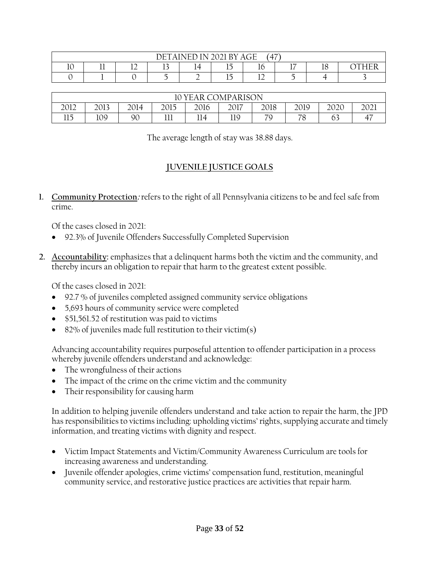|                                                                                             | $4 - 7$<br>$\Delta G$ F<br>$\overline{N}$ 2021 RY<br>DET.<br>TTT<br>н.<br>$\overline{4}$ |                       |  |  |  |  |  |  |  |  |  |  |  |
|---------------------------------------------------------------------------------------------|------------------------------------------------------------------------------------------|-----------------------|--|--|--|--|--|--|--|--|--|--|--|
| $\rightarrow$<br>$-$<br>$\mathbf{A}$<br>. .<br>10<br>TÔ<br>∸<br><br><br>--<br><u>. на п</u> |                                                                                          |                       |  |  |  |  |  |  |  |  |  |  |  |
|                                                                                             |                                                                                          | $-$<br>- -<br>∸<br>-- |  |  |  |  |  |  |  |  |  |  |  |

|                                                                                            | COMPARISON<br>н<br>н. |    |            |     |     |         |               |              |    |  |  |  |
|--------------------------------------------------------------------------------------------|-----------------------|----|------------|-----|-----|---------|---------------|--------------|----|--|--|--|
| 2012<br>2018<br>2013<br>2014<br>2017<br>2019<br>ിറി<br>2015<br>2016<br>റററ<br>ZUZU<br>∠∪∠⊥ |                       |    |            |     |     |         |               |              |    |  |  |  |
| 115<br>IJ                                                                                  | 109                   | 90 | 111<br>┸┸┸ | 114 | 119 | 7C<br>- | 70<br>$\circ$ | $\sim$<br>63 | سہ |  |  |  |

The average length of stay was 38.88 days.

### **JUVENILE JUSTICE GOALS**

**1. Community Protection:** refers to the right of all Pennsylvania citizens to be and feel safe from crime.

Of the cases closed in 2021:

- 92.3% of Juvenile Offenders Successfully Completed Supervision
- **2. Accountability:** emphasizes that a delinquent harms both the victim and the community, and thereby incurs an obligation to repair that harm to the greatest extent possible.

Of the cases closed in 2021:

- 92.7 % of juveniles completed assigned community service obligations
- 5,693 hours of community service were completed
- \$51,561.52 of restitution was paid to victims
- 82% of juveniles made full restitution to their victim(s)

Advancing accountability requires purposeful attention to offender participation in a process whereby juvenile offenders understand and acknowledge:

- The wrongfulness of their actions
- The impact of the crime on the crime victim and the community
- Their responsibility for causing harm

In addition to helping juvenile offenders understand and take action to repair the harm, the JPD has responsibilities to victims including: upholding victims' rights, supplying accurate and timely information, and treating victims with dignity and respect.

- Victim Impact Statements and Victim/Community Awareness Curriculum are tools for increasing awareness and understanding.
- Juvenile offender apologies, crime victims' compensation fund, restitution, meaningful community service, and restorative justice practices are activities that repair harm.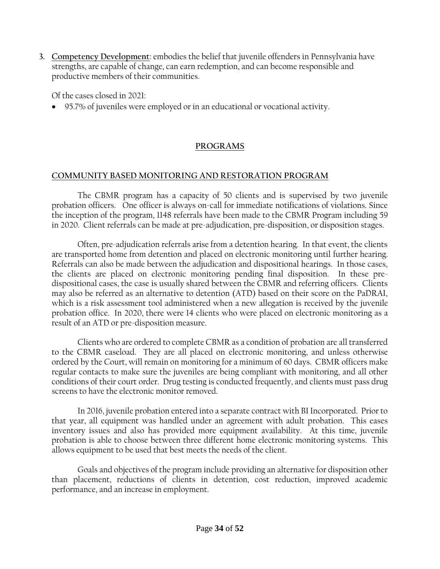**3. Competency Development**: embodies the belief that juvenile offenders in Pennsylvania have strengths, are capable of change, can earn redemption, and can become responsible and productive members of their communities.

Of the cases closed in 2021:

• 95.7% of juveniles were employed or in an educational or vocational activity.

### **PROGRAMS**

#### **COMMUNITY BASED MONITORING AND RESTORATION PROGRAM**

The CBMR program has a capacity of 50 clients and is supervised by two juvenile probation officers. One officer is always on-call for immediate notifications of violations. Since the inception of the program, 1148 referrals have been made to the CBMR Program including 59 in 2020. Client referrals can be made at pre-adjudication, pre-disposition, or disposition stages.

Often, pre-adjudication referrals arise from a detention hearing. In that event, the clients are transported home from detention and placed on electronic monitoring until further hearing. Referrals can also be made between the adjudication and dispositional hearings. In those cases, the clients are placed on electronic monitoring pending final disposition. In these predispositional cases, the case is usually shared between the CBMR and referring officers. Clients may also be referred as an alternative to detention (ATD) based on their score on the PaDRAI, which is a risk assessment tool administered when a new allegation is received by the juvenile probation office. In 2020, there were 14 clients who were placed on electronic monitoring as a result of an ATD or pre-disposition measure.

Clients who are ordered to complete CBMR as a condition of probation are all transferred to the CBMR caseload. They are all placed on electronic monitoring, and unless otherwise ordered by the Court, will remain on monitoring for a minimum of 60 days. CBMR officers make regular contacts to make sure the juveniles are being compliant with monitoring, and all other conditions of their court order. Drug testing is conducted frequently, and clients must pass drug screens to have the electronic monitor removed.

In 2016, juvenile probation entered into a separate contract with BI Incorporated. Prior to that year, all equipment was handled under an agreement with adult probation. This eases inventory issues and also has provided more equipment availability. At this time, juvenile probation is able to choose between three different home electronic monitoring systems. This allows equipment to be used that best meets the needs of the client.

Goals and objectives of the program include providing an alternative for disposition other than placement, reductions of clients in detention, cost reduction, improved academic performance, and an increase in employment.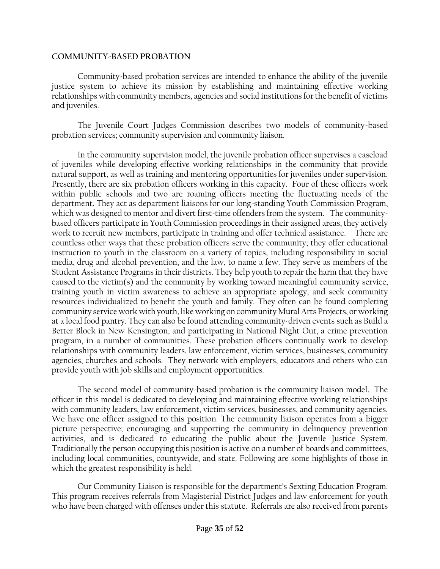#### **COMMUNITY-BASED PROBATION**

Community-based probation services are intended to enhance the ability of the juvenile justice system to achieve its mission by establishing and maintaining effective working relationships with community members, agencies and social institutionsfor the benefit of victims and juveniles.

The Juvenile Court Judges Commission describes two models of community-based probation services; community supervision and community liaison.

In the community supervision model, the juvenile probation officer supervises a caseload of juveniles while developing effective working relationships in the community that provide natural support, as well as training and mentoring opportunities for juveniles under supervision. Presently, there are six probation officers working in this capacity. Four of these officers work within public schools and two are roaming officers meeting the fluctuating needs of the department. They act as department liaisons for our long-standing Youth Commission Program, which was designed to mentor and divert first-time offenders from the system. The communitybased officers participate in Youth Commission proceedings in their assigned areas, they actively work to recruit new members, participate in training and offer technical assistance. There are countless other ways that these probation officers serve the community; they offer educational instruction to youth in the classroom on a variety of topics, including responsibility in social media, drug and alcohol prevention, and the law, to name a few. They serve as members of the Student Assistance Programs in their districts. They help youth to repair the harm that they have caused to the victim(s) and the community by working toward meaningful community service, training youth in victim awareness to achieve an appropriate apology, and seek community resources individualized to benefit the youth and family. They often can be found completing community service work with youth, like working on community Mural Arts Projects, or working at a local food pantry. They can also be found attending community-driven events such as Build a Better Block in New Kensington, and participating in National Night Out, a crime prevention program, in a number of communities. These probation officers continually work to develop relationships with community leaders, law enforcement, victim services, businesses, community agencies, churches and schools. They network with employers, educators and others who can provide youth with job skills and employment opportunities.

The second model of community-based probation is the community liaison model. The officer in this model is dedicated to developing and maintaining effective working relationships with community leaders, law enforcement, victim services, businesses, and community agencies. We have one officer assigned to this position. The community liaison operates from a bigger picture perspective; encouraging and supporting the community in delinquency prevention activities, and is dedicated to educating the public about the Juvenile Justice System. Traditionally the person occupying this position is active on a number of boards and committees, including local communities, countywide, and state. Following are some highlights of those in which the greatest responsibility is held.

Our Community Liaison is responsible for the department's Sexting Education Program. This program receives referrals from Magisterial District Judges and law enforcement for youth who have been charged with offenses under this statute. Referrals are also received from parents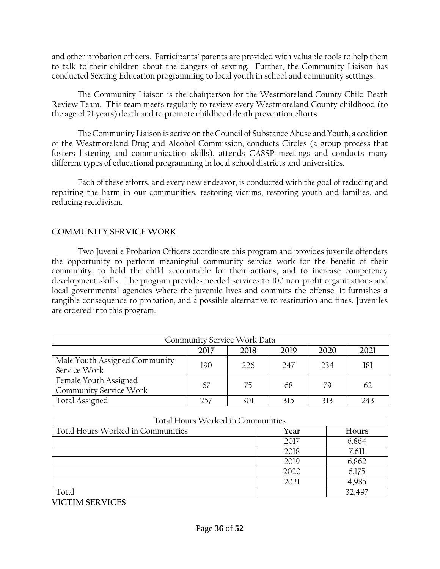and other probation officers. Participants' parents are provided with valuable tools to help them to talk to their children about the dangers of sexting. Further, the Community Liaison has conducted Sexting Education programming to local youth in school and community settings.

The Community Liaison is the chairperson for the Westmoreland County Child Death Review Team. This team meets regularly to review every Westmoreland County childhood (to the age of 21 years) death and to promote childhood death prevention efforts.

The Community Liaison is active on the Council of Substance Abuse and Youth, a coalition of the Westmoreland Drug and Alcohol Commission, conducts Circles (a group process that fosters listening and communication skills), attends CASSP meetings and conducts many different types of educational programming in local school districts and universities.

Each of these efforts, and every new endeavor, is conducted with the goal of reducing and repairing the harm in our communities, restoring victims, restoring youth and families, and reducing recidivism.

### **COMMUNITY SERVICE WORK**

Two Juvenile Probation Officers coordinate this program and provides juvenile offenders the opportunity to perform meaningful community service work for the benefit of their community, to hold the child accountable for their actions, and to increase competency development skills. The program provides needed services to 100 non-profit organizations and local governmental agencies where the juvenile lives and commits the offense. It furnishes a tangible consequence to probation, and a possible alternative to restitution and fines. Juveniles are ordered into this program.

| Community Service Work Data                     |     |     |     |     |     |  |
|-------------------------------------------------|-----|-----|-----|-----|-----|--|
| 2018<br>2019<br>2021<br>2017<br>2020            |     |     |     |     |     |  |
| Male Youth Assigned Community<br>Service Work   | 190 | 226 | 247 | 234 | 181 |  |
| Female Youth Assigned<br>Community Service Work | 67  | 75  | 68  | 79  | 62  |  |
| <b>Total Assigned</b>                           | 257 | 301 | 315 | 313 | 243 |  |

| Total Hours Worked in Communities |      |        |  |  |  |
|-----------------------------------|------|--------|--|--|--|
| Total Hours Worked in Communities | Year | Hours  |  |  |  |
|                                   | 2017 | 6,864  |  |  |  |
|                                   | 2018 | 7,611  |  |  |  |
|                                   | 2019 | 6,862  |  |  |  |
|                                   | 2020 | 6,175  |  |  |  |
|                                   | 2021 | 4,985  |  |  |  |
| Total                             |      | 32,497 |  |  |  |

**VICTIM SERVICES**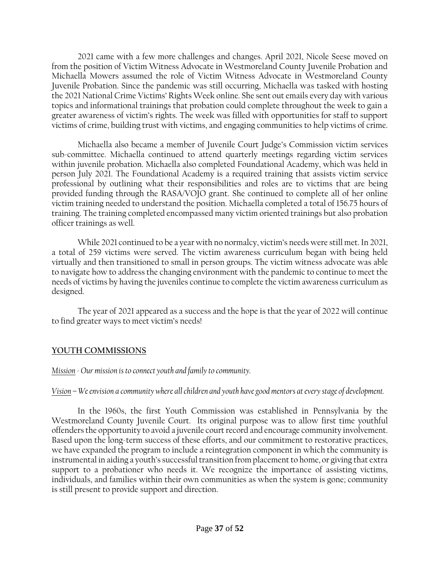2021 came with a few more challenges and changes. April 2021, Nicole Seese moved on from the position of Victim Witness Advocate in Westmoreland County Juvenile Probation and Michaella Mowers assumed the role of Victim Witness Advocate in Westmoreland County Juvenile Probation. Since the pandemic was still occurring, Michaella was tasked with hosting the 2021 National Crime Victims' Rights Week online. She sent out emails every day with various topics and informational trainings that probation could complete throughout the week to gain a greater awareness of victim's rights. The week was filled with opportunities for staff to support victims of crime, building trust with victims, and engaging communities to help victims of crime.

Michaella also became a member of Juvenile Court Judge's Commission victim services sub-committee. Michaella continued to attend quarterly meetings regarding victim services within juvenile probation. Michaella also completed Foundational Academy, which was held in person July 2021. The Foundational Academy is a required training that assists victim service professional by outlining what their responsibilities and roles are to victims that are being provided funding through the RASA/VOJO grant. She continued to complete all of her online victim training needed to understand the position. Michaella completed a total of 156.75 hours of training. The training completed encompassed many victim oriented trainings but also probation officer trainings as well.

While 2021 continued to be a year with no normalcy, victim's needs were still met. In 2021, a total of 259 victims were served. The victim awareness curriculum began with being held virtually and then transitioned to small in person groups. The victim witness advocate was able to navigate how to address the changing environment with the pandemic to continue to meet the needs of victims by having the juveniles continue to complete the victim awareness curriculum as designed.

The year of 2021 appeared as a success and the hope is that the year of 2022 will continue to find greater ways to meet victim's needs!

### **YOUTH COMMISSIONS**

*Mission - Our mission is to connect youth and family to community.* 

### *Vision – We envision a community where all children and youth have good mentors at every stage of development.*

In the 1960s, the first Youth Commission was established in Pennsylvania by the Westmoreland County Juvenile Court. Its original purpose was to allow first time youthful offenders the opportunity to avoid a juvenile court record and encourage community involvement. Based upon the long-term success of these efforts, and our commitment to restorative practices, we have expanded the program to include a reintegration component in which the community is instrumental in aiding a youth's successful transition from placement to home, or giving that extra support to a probationer who needs it. We recognize the importance of assisting victims, individuals, and families within their own communities as when the system is gone; community is still present to provide support and direction.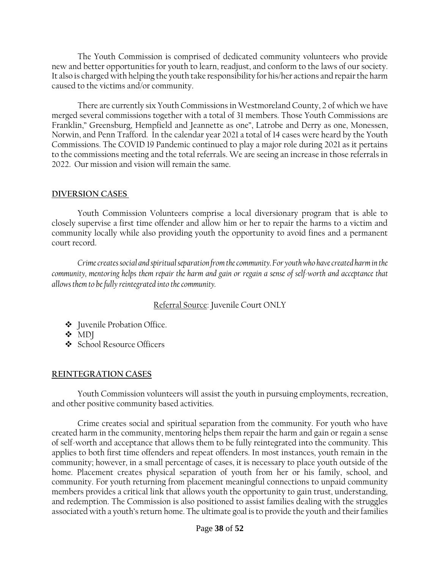The Youth Commission is comprised of dedicated community volunteers who provide new and better opportunities for youth to learn, readjust, and conform to the laws of our society. It also is charged with helping the youth take responsibility for his/her actions and repair the harm caused to the victims and/or community.

There are currently six Youth Commissions in Westmoreland County, 2 of which we have merged several commissions together with a total of 31 members. Those Youth Commissions are Franklin," Greensburg, Hempfield and Jeannette as one", Latrobe and Derry as one, Monessen, Norwin, and Penn Trafford. In the calendar year 2021 a total of 14 cases were heard by the Youth Commissions. The COVID 19 Pandemic continued to play a major role during 2021 as it pertains to the commissions meeting and the total referrals. We are seeing an increase in those referrals in 2022. Our mission and vision will remain the same.

#### **DIVERSION CASES**

Youth Commission Volunteers comprise a local diversionary program that is able to closely supervise a first time offender and allow him or her to repair the harms to a victim and community locally while also providing youth the opportunity to avoid fines and a permanent court record.

*Crime creates social and spiritual separation from the community. For youth who have created harm in the community, mentoring helps them repair the harm and gain or regain a sense of self-worth and acceptance that allows them to be fully reintegrated into the community.*

### Referral Source: Juvenile Court ONLY

- ❖ Juvenile Probation Office.
- ❖ MDJ
- ❖ School Resource Officers

### **REINTEGRATION CASES**

Youth Commission volunteers will assist the youth in pursuing employments, recreation, and other positive community based activities.

Crime creates social and spiritual separation from the community. For youth who have created harm in the community, mentoring helps them repair the harm and gain or regain a sense of self-worth and acceptance that allows them to be fully reintegrated into the community. This applies to both first time offenders and repeat offenders. In most instances, youth remain in the community; however, in a small percentage of cases, it is necessary to place youth outside of the home. Placement creates physical separation of youth from her or his family, school, and community. For youth returning from placement meaningful connections to unpaid community members provides a critical link that allows youth the opportunity to gain trust, understanding, and redemption. The Commission is also positioned to assist families dealing with the struggles associated with a youth's return home. The ultimate goal is to provide the youth and their families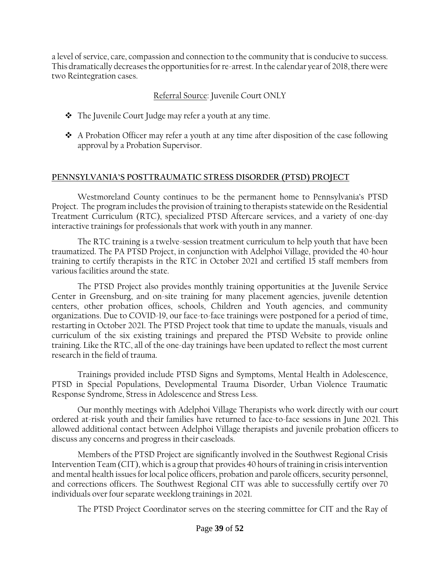a level of service, care, compassion and connection to the community that is conducive to success. This dramatically decreases the opportunities for re-arrest. In the calendar year of 2018, there were two Reintegration cases.

### Referral Source: Juvenile Court ONLY

- ❖ The Juvenile Court Judge may refer a youth at any time.
- ❖ A Probation Officer may refer a youth at any time after disposition of the case following approval by a Probation Supervisor.

### **PENNSYLVANIA'S POSTTRAUMATIC STRESS DISORDER (PTSD) PROJECT**

Westmoreland County continues to be the permanent home to Pennsylvania's PTSD Project. The program includes the provision of training to therapists statewide on the Residential Treatment Curriculum (RTC), specialized PTSD Aftercare services, and a variety of one-day interactive trainings for professionals that work with youth in any manner.

The RTC training is a twelve-session treatment curriculum to help youth that have been traumatized. The PA PTSD Project, in conjunction with Adelphoi Village, provided the 40-hour training to certify therapists in the RTC in October 2021 and certified 15 staff members from various facilities around the state.

The PTSD Project also provides monthly training opportunities at the Juvenile Service Center in Greensburg, and on-site training for many placement agencies, juvenile detention centers, other probation offices, schools, Children and Youth agencies, and community organizations. Due to COVID-19, our face-to-face trainings were postponed for a period of time, restarting in October 2021. The PTSD Project took that time to update the manuals, visuals and curriculum of the six existing trainings and prepared the PTSD Website to provide online training. Like the RTC, all of the one-day trainings have been updated to reflect the most current research in the field of trauma.

Trainings provided include PTSD Signs and Symptoms, Mental Health in Adolescence, PTSD in Special Populations, Developmental Trauma Disorder, Urban Violence Traumatic Response Syndrome, Stress in Adolescence and Stress Less.

Our monthly meetings with Adelphoi Village Therapists who work directly with our court ordered at-risk youth and their families have returned to face-to-face sessions in June 2021. This allowed additional contact between Adelphoi Village therapists and juvenile probation officers to discuss any concerns and progress in their caseloads.

Members of the PTSD Project are significantly involved in the Southwest Regional Crisis Intervention Team (CIT), which is a group that provides 40 hours of training in crisis intervention and mental health issues for local police officers, probation and parole officers, security personnel, and corrections officers. The Southwest Regional CIT was able to successfully certify over 70 individuals over four separate weeklong trainings in 2021.

The PTSD Project Coordinator serves on the steering committee for CIT and the Ray of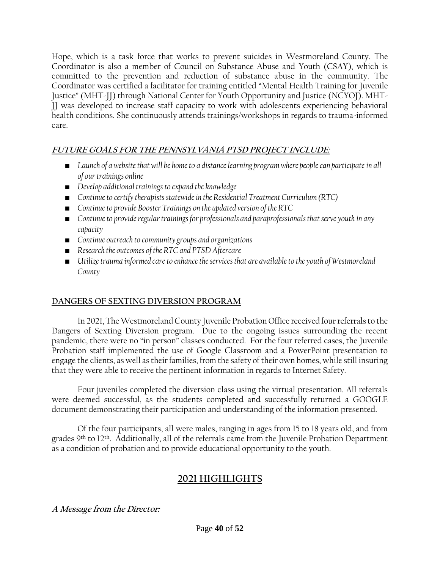Hope, which is a task force that works to prevent suicides in Westmoreland County. The Coordinator is also a member of Council on Substance Abuse and Youth (CSAY), which is committed to the prevention and reduction of substance abuse in the community. The Coordinator was certified a facilitator for training entitled "Mental Health Training for Juvenile Justice" (MHT-JJ) through National Center for Youth Opportunity and Justice (NCYOJ). MHT-JJ was developed to increase staff capacity to work with adolescents experiencing behavioral health conditions. She continuously attends trainings/workshops in regards to trauma-informed care.

## **FUTURE GOALS FOR THE PENNSYLVANIA PTSD PROJECT INCLUDE:**

- *Launch of a website that will be home to a distance learning program where people can participate in all of our trainings online*
- *Develop additional trainings to expand the knowledge*
- *Continue to certify therapists statewide in the Residential Treatment Curriculum (RTC)*
- *Continue to provide Booster Trainings on the updated version of the RTC*
- Continue to provide regular trainings for professionals and paraprofessionals that serve youth in any *capacity*
- *Continue outreach to community groups and organizations*
- *Research the outcomes of the RTC and PTSD Aftercare*
- *Utilize trauma informed care to enhance the services that are available to the youth of Westmoreland County*

### **DANGERS OF SEXTING DIVERSION PROGRAM**

In 2021, The Westmoreland County Juvenile Probation Office received four referrals to the Dangers of Sexting Diversion program. Due to the ongoing issues surrounding the recent pandemic, there were no "in person" classes conducted. For the four referred cases, the Juvenile Probation staff implemented the use of Google Classroom and a PowerPoint presentation to engage the clients, as well as their families, from the safety of their own homes, while still insuring that they were able to receive the pertinent information in regards to Internet Safety.

Four juveniles completed the diversion class using the virtual presentation. All referrals were deemed successful, as the students completed and successfully returned a GOOGLE document demonstrating their participation and understanding of the information presented.

Of the four participants, all were males, ranging in ages from 15 to 18 years old, and from grades 9<sup>th</sup> to 12<sup>th</sup>. Additionally, all of the referrals came from the Juvenile Probation Department as a condition of probation and to provide educational opportunity to the youth.

# **2021 HIGHLIGHTS**

**A Message from the Director:**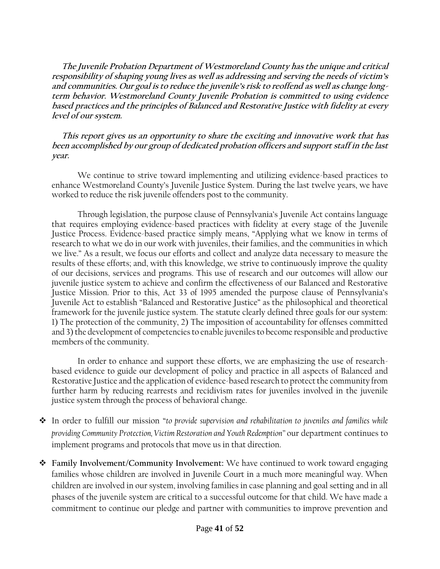**The Juvenile Probation Department of Westmoreland County has the unique and critical responsibility of shaping young lives as well as addressing and serving the needs of victim's and communities. Our goal is to reduce the juvenile's risk to reoffend as well as change longterm behavior. Westmoreland County Juvenile Probation is committed to using evidence based practices and the principles of Balanced and Restorative Justice with fidelity at every level of our system.** 

 **This report gives us an opportunity to share the exciting and innovative work that has been accomplished by our group of dedicated probation officers and support staff in the last year.**

We continue to strive toward implementing and utilizing evidence-based practices to enhance Westmoreland County's Juvenile Justice System. During the last twelve years, we have worked to reduce the risk juvenile offenders post to the community.

Through legislation, the purpose clause of Pennsylvania's Juvenile Act contains language that requires employing evidence-based practices with fidelity at every stage of the Juvenile Justice Process. Evidence-based practice simply means, "Applying what we know in terms of research to what we do in our work with juveniles, their families, and the communities in which we live." As a result, we focus our efforts and collect and analyze data necessary to measure the results of these efforts; and, with this knowledge, we strive to continuously improve the quality of our decisions, services and programs. This use of research and our outcomes will allow our juvenile justice system to achieve and confirm the effectiveness of our Balanced and Restorative Justice Mission. Prior to this, Act 33 of 1995 amended the purpose clause of Pennsylvania's Juvenile Act to establish "Balanced and Restorative Justice" as the philosophical and theoretical framework for the juvenile justice system. The statute clearly defined three goals for our system: 1) The protection of the community, 2) The imposition of accountability for offenses committed and 3) the development of competencies to enable juveniles to become responsible and productive members of the community.

In order to enhance and support these efforts, we are emphasizing the use of researchbased evidence to guide our development of policy and practice in all aspects of Balanced and Restorative Justice and the application of evidence-based research to protect the community from further harm by reducing rearrests and recidivism rates for juveniles involved in the juvenile justice system through the process of behavioral change.

- ❖ In order to fulfill our mission "*to provide supervision and rehabilitation to juveniles and families while providing Community Protection, Victim Restoration and Youth Redemption"* our department continues to implement programs and protocols that move us in that direction.
- ❖ **Family Involvement/Community Involvement:** We have continued to work toward engaging families whose children are involved in Juvenile Court in a much more meaningful way. When children are involved in our system, involving families in case planning and goal setting and in all phases of the juvenile system are critical to a successful outcome for that child. We have made a commitment to continue our pledge and partner with communities to improve prevention and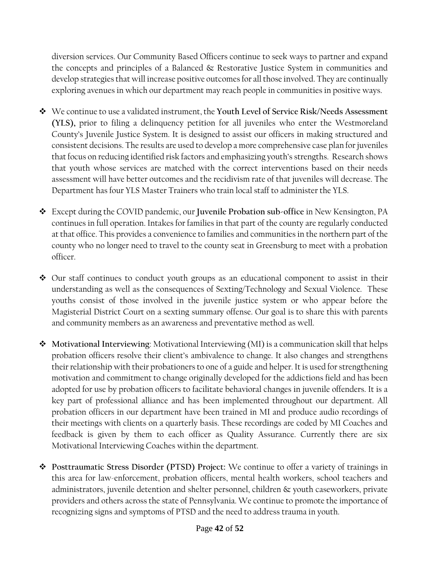diversion services. Our Community Based Officers continue to seek ways to partner and expand the concepts and principles of a Balanced & Restorative Justice System in communities and develop strategies that will increase positive outcomes for all those involved. They are continually exploring avenues in which our department may reach people in communities in positive ways.

- ❖ We continue to use a validated instrument, the **Youth Level of Service Risk/Needs Assessment (YLS),** prior to filing a delinquency petition for all juveniles who enter the Westmoreland County's Juvenile Justice System. It is designed to assist our officers in making structured and consistent decisions. The results are used to develop a more comprehensive case plan for juveniles that focus on reducing identified risk factors and emphasizing youth's strengths. Research shows that youth whose services are matched with the correct interventions based on their needs assessment will have better outcomes and the recidivism rate of that juveniles will decrease. The Department has four YLS Master Trainers who train local staff to administer the YLS.
- ❖ Except during the COVID pandemic, our **Juvenile Probation sub-office** in New Kensington, PA continues in full operation. Intakes for families in that part of the county are regularly conducted at that office. This provides a convenience to families and communities in the northern part of the county who no longer need to travel to the county seat in Greensburg to meet with a probation officer.
- ❖ Our staff continues to conduct youth groups as an educational component to assist in their understanding as well as the consequences of Sexting/Technology and Sexual Violence. These youths consist of those involved in the juvenile justice system or who appear before the Magisterial District Court on a sexting summary offense. Our goal is to share this with parents and community members as an awareness and preventative method as well.
- ❖ **Motivational Interviewing**: Motivational Interviewing (MI) is a communication skill that helps probation officers resolve their client's ambivalence to change. It also changes and strengthens their relationship with their probationers to one of a guide and helper. It is used for strengthening motivation and commitment to change originally developed for the addictions field and has been adopted for use by probation officers to facilitate behavioral changes in juvenile offenders. It is a key part of professional alliance and has been implemented throughout our department. All probation officers in our department have been trained in MI and produce audio recordings of their meetings with clients on a quarterly basis. These recordings are coded by MI Coaches and feedback is given by them to each officer as Quality Assurance. Currently there are six Motivational Interviewing Coaches within the department.
- ❖ **Posttraumatic Stress Disorder (PTSD) Project:** We continue to offer a variety of trainings in this area for law-enforcement, probation officers, mental health workers, school teachers and administrators, juvenile detention and shelter personnel, children & youth caseworkers, private providers and others across the state of Pennsylvania. We continue to promote the importance of recognizing signs and symptoms of PTSD and the need to address trauma in youth.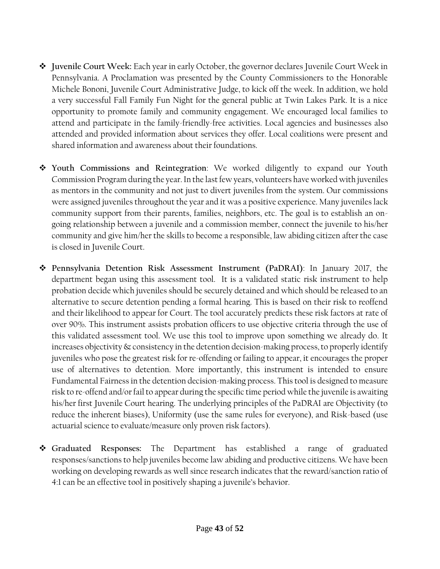- ❖ **Juvenile Court Week:** Each year in early October, the governor declares Juvenile Court Week in Pennsylvania. A Proclamation was presented by the County Commissioners to the Honorable Michele Bononi, Juvenile Court Administrative Judge, to kick off the week. In addition, we hold a very successful Fall Family Fun Night for the general public at Twin Lakes Park. It is a nice opportunity to promote family and community engagement. We encouraged local families to attend and participate in the family-friendly-free activities. Local agencies and businesses also attended and provided information about services they offer. Local coalitions were present and shared information and awareness about their foundations.
- ❖ **Youth Commissions and Reintegration**: We worked diligently to expand our Youth Commission Program during the year. In the last few years, volunteers have worked with juveniles as mentors in the community and not just to divert juveniles from the system. Our commissions were assigned juveniles throughout the year and it was a positive experience. Many juveniles lack community support from their parents, families, neighbors, etc. The goal is to establish an ongoing relationship between a juvenile and a commission member, connect the juvenile to his/her community and give him/her the skills to become a responsible, law abiding citizen after the case is closed in Juvenile Court.
- ❖ **Pennsylvania Detention Risk Assessment Instrument (PaDRAI)**: In January 2017, the department began using this assessment tool. It is a validated static risk instrument to help probation decide which juveniles should be securely detained and which should be released to an alternative to secure detention pending a formal hearing. This is based on their risk to reoffend and their likelihood to appear for Court. The tool accurately predicts these risk factors at rate of over 90%. This instrument assists probation officers to use objective criteria through the use of this validated assessment tool. We use this tool to improve upon something we already do. It increases objectivity & consistency in the detention decision-making process, to properly identify juveniles who pose the greatest risk for re-offending or failing to appear, it encourages the proper use of alternatives to detention. More importantly, this instrument is intended to ensure Fundamental Fairness in the detention decision-making process. This tool is designed to measure risk to re-offend and/or fail to appear during the specific time period while the juvenile is awaiting his/her first Juvenile Court hearing. The underlying principles of the PaDRAI are Objectivity (to reduce the inherent biases), Uniformity (use the same rules for everyone), and Risk-based (use actuarial science to evaluate/measure only proven risk factors).
- ❖ **Graduated Responses:** The Department has established a range of graduated responses/sanctions to help juveniles become law abiding and productive citizens. We have been working on developing rewards as well since research indicates that the reward/sanction ratio of 4:1 can be an effective tool in positively shaping a juvenile's behavior.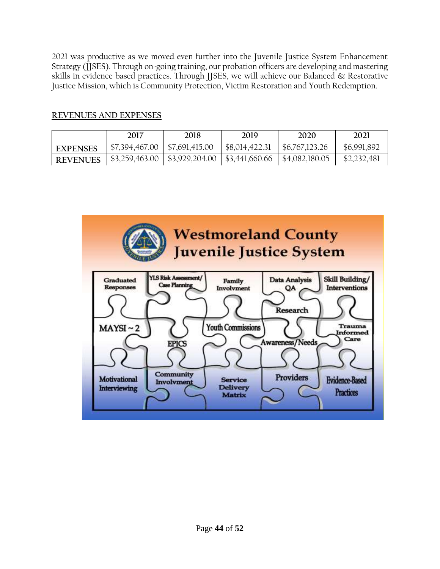2021 was productive as we moved even further into the Juvenile Justice System Enhancement Strategy (JJSES). Through on-going training, our probation officers are developing and mastering skills in evidence based practices. Through JJSES, we will achieve our Balanced & Restorative Justice Mission, which is Community Protection, Victim Restoration and Youth Redemption.

### **REVENUES AND EXPENSES**

|                 | 2017           | 2018                                                  | 2019           | 2020                      | 2021        |
|-----------------|----------------|-------------------------------------------------------|----------------|---------------------------|-------------|
| <b>EXPENSES</b> | \$7,394,467.00 | $\frac{57,691,415.00}{ }$                             | \$8,014,422.31 | \$6,767,123.26            | \$6,991,892 |
| <b>REVENUES</b> |                | $$3,259,463.00 \mid $3,929,204.00 \mid $3,441,660.66$ |                | $\frac{$4,082,180.05}{ }$ | \$2,232,481 |

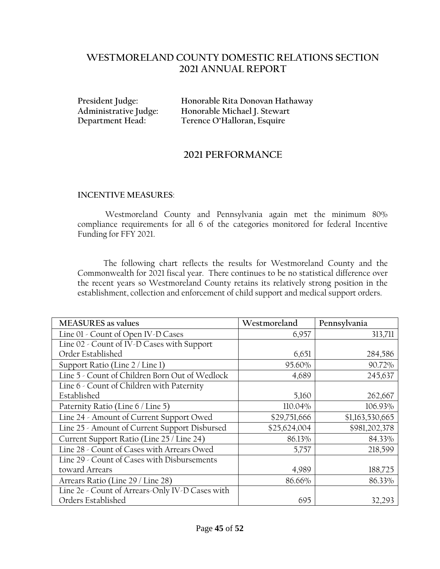### **WESTMORELAND COUNTY DOMESTIC RELATIONS SECTION 2021 ANNUAL REPORT**

**President Judge: Honorable Rita Donovan Hathaway Administrative Judge: Honorable Michael J. Stewart Department Head: Terence O'Halloran, Esquire**

### **2021 PERFORMANCE**

#### **INCENTIVE MEASURES**:

Westmoreland County and Pennsylvania again met the minimum 80% compliance requirements for all 6 of the categories monitored for federal Incentive Funding for FFY 2021.

The following chart reflects the results for Westmoreland County and the Commonwealth for 2021 fiscal year. There continues to be no statistical difference over the recent years so Westmoreland County retains its relatively strong position in the establishment, collection and enforcement of child support and medical support orders.

| <b>MEASURES</b> as values                       | Westmoreland | Pennsylvania    |
|-------------------------------------------------|--------------|-----------------|
| Line 01 - Count of Open IV-D Cases              | 6,957        | 313,711         |
| Line 02 - Count of IV-D Cases with Support      |              |                 |
| Order Established                               | 6,651        | 284,586         |
| Support Ratio (Line 2 / Line 1)                 | 95.60%       | 90.72%          |
| Line 5 - Count of Children Born Out of Wedlock  | 4,689        | 245,637         |
| Line 6 - Count of Children with Paternity       |              |                 |
| Established                                     | 5,160        | 262,667         |
| Paternity Ratio (Line 6 / Line 5)               | 110.04%      | 106.93%         |
| Line 24 - Amount of Current Support Owed        | \$29,751,666 | \$1,163,530,665 |
| Line 25 - Amount of Current Support Disbursed   | \$25,624,004 | \$981,202,378   |
| Current Support Ratio (Line 25 / Line 24)       | 86.13%       | 84.33%          |
| Line 28 - Count of Cases with Arrears Owed      | 5,757        | 218,599         |
| Line 29 - Count of Cases with Disbursements     |              |                 |
| toward Arrears                                  | 4,989        | 188,725         |
| Arrears Ratio (Line 29 / Line 28)               | 86.66%       | 86.33%          |
| Line 2e - Count of Arrears-Only IV-D Cases with |              |                 |
| Orders Established                              | 695          | 32,293          |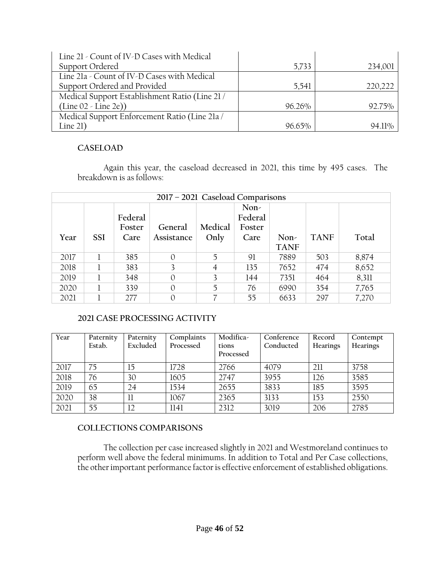| Line 21 - Count of IV-D Cases with Medical     |        |           |
|------------------------------------------------|--------|-----------|
| Support Ordered                                | 5,733  | 234,001   |
| Line 21a - Count of IV-D Cases with Medical    |        |           |
| Support Ordered and Provided                   | 5,541  | 220,222   |
| Medical Support Establishment Ratio (Line 21 / |        |           |
| $(Line 02 - Line 2e))$                         | 96.26% | 92.75%    |
| Medical Support Enforcement Ratio (Line 21a /  |        |           |
| Line $21)$                                     | 96.65% | $94.11\%$ |

#### **CASELOAD**

Again this year, the caseload decreased in 2021, this time by 495 cases. The breakdown is as follows:

| 2017 - 2021 Caseload Comparisons |            |                           |                       |                 |                                   |                     |             |       |
|----------------------------------|------------|---------------------------|-----------------------|-----------------|-----------------------------------|---------------------|-------------|-------|
| Year                             | <b>SSI</b> | Federal<br>Foster<br>Care | General<br>Assistance | Medical<br>Only | Non-<br>Federal<br>Foster<br>Care | Non-<br><b>TANF</b> | <b>TANF</b> | Total |
| 2017                             |            | 385                       | $\Omega$              | 5               | 91                                | 7889                | 503         | 8,874 |
| 2018                             |            | 383                       | 3                     | $\overline{4}$  | 135                               | 7652                | 474         | 8,652 |
| 2019                             |            | 348                       | $\theta$              | 3               | 144                               | 7351                | 464         | 8,311 |
| 2020                             |            | 339                       | $\theta$              | 5               | 76                                | 6990                | 354         | 7,765 |
| 2021                             |            | 277                       | $\theta$              | 7               | 55                                | 6633                | 297         | 7,270 |

### **2021 CASE PROCESSING ACTIVITY**

| Year | Paternity | Paternity | Complaints | Modifica- | Conference | Record          | Contempt |
|------|-----------|-----------|------------|-----------|------------|-----------------|----------|
|      | Estab.    | Excluded  | Processed  | tions     | Conducted  | <b>Hearings</b> | Hearings |
|      |           |           |            | Processed |            |                 |          |
| 2017 | 75        | 15        | 1728       | 2766      | 4079       | 211             | 3758     |
| 2018 | 76        | 30        | 1605       | 2747      | 3955       | 126             | 3585     |
| 2019 | 65        | 24        | 1534       | 2655      | 3833       | 185             | 3595     |
| 2020 | 38        | П         | 1067       | 2365      | 3133       | 153             | 2550     |
| 2021 | 55        | 12        | 1141       | 2312      | 3019       | 206             | 2785     |

### **COLLECTIONS COMPARISONS**

The collection per case increased slightly in 2021 and Westmoreland continues to perform well above the federal minimums. In addition to Total and Per Case collections, the other important performance factor is effective enforcement of established obligations.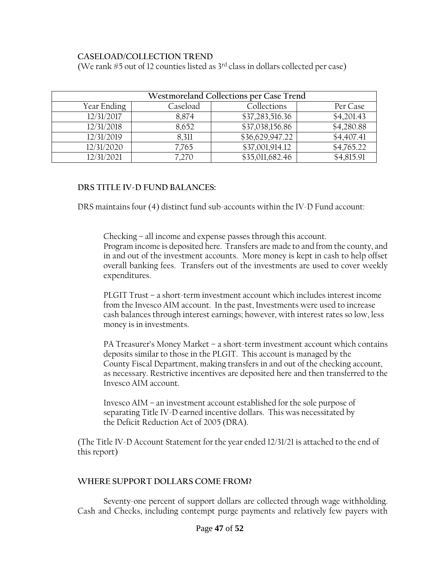#### **CASELOAD/COLLECTION TREND**

(We rank  $#5$  out of 12 counties listed as  $3<sup>rd</sup>$  class in dollars collected per case)

| Westmoreland Collections per Case Trend |          |                 |            |  |  |
|-----------------------------------------|----------|-----------------|------------|--|--|
| Year Ending                             | Caseload | Collections     | Per Case   |  |  |
| 12/31/2017                              | 8,874    | \$37,283,516.36 | \$4,201.43 |  |  |
| 12/31/2018                              | 8,652    | \$37,038,156.86 | \$4,280.88 |  |  |
| 12/31/2019                              | 8,311    | \$36,629,947.22 | \$4,407.41 |  |  |
| 12/31/2020                              | 7,765    | \$37,001,914.12 | \$4,765.22 |  |  |
| 12/31/2021                              | 7,270    | \$35,011,682.46 | \$4,815.91 |  |  |

#### **DRS TITLE IV-D FUND BALANCES:**

DRS maintains four (4) distinct fund sub-accounts within the IV-D Fund account:

Checking – all income and expense passes through this account. Program income is deposited here. Transfers are made to and from the county, and in and out of the investment accounts. More money is kept in cash to help offset overall banking fees. Transfers out of the investments are used to cover weekly expenditures.

PLGIT Trust – a short-term investment account which includes interest income from the Invesco AIM account. In the past, Investments were used to increase cash balances through interest earnings; however, with interest rates so low, less money is in investments.

PA Treasurer's Money Market – a short-term investment account which contains deposits similar to those in the PLGIT. This account is managed by the County Fiscal Department, making transfers in and out of the checking account, as necessary. Restrictive incentives are deposited here and then transferred to the Invesco AIM account.

Invesco AIM – an investment account established for the sole purpose of separating Title IV-D earned incentive dollars. This was necessitated by the Deficit Reduction Act of 2005 (DRA).

(The Title IV-D Account Statement for the year ended 12/31/21 is attached to the end of this report)

### **WHERE SUPPORT DOLLARS COME FROM?**

Seventy-one percent of support dollars are collected through wage withholding. Cash and Checks, including contempt purge payments and relatively few payers with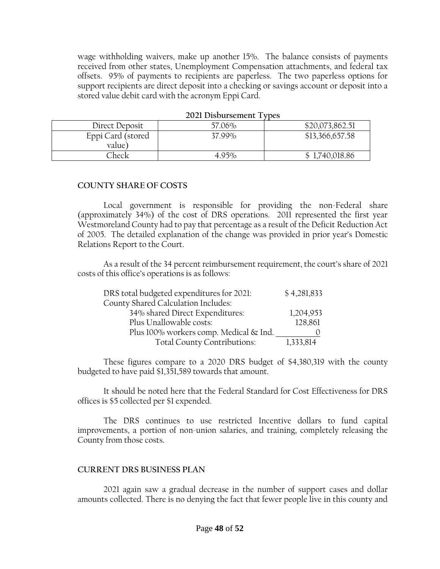wage withholding waivers, make up another 15%. The balance consists of payments received from other states, Unemployment Compensation attachments, and federal tax offsets. 95% of payments to recipients are paperless. The two paperless options for support recipients are direct deposit into a checking or savings account or deposit into a stored value debit card with the acronym Eppi Card.

|                   | $2021$ DROUGLOCHIC IV DCO |                 |
|-------------------|---------------------------|-----------------|
| Direct Deposit    | 57.06%                    | \$20,073,862.51 |
| Eppi Card (stored | 37.99%                    | \$13,366,657.58 |
| value)            |                           |                 |
| Check             | $4.95\%$                  | \$1,740,018.86  |

#### **2021 Disbursement Types**

#### **COUNTY SHARE OF COSTS**

Local government is responsible for providing the non-Federal share (approximately 34%) of the cost of DRS operations. 2011 represented the first year Westmoreland County had to pay that percentage as a result of the Deficit Reduction Act of 2005. The detailed explanation of the change was provided in prior year's Domestic Relations Report to the Court.

As a result of the 34 percent reimbursement requirement, the court's share of 2021 costs of this office's operations is as follows:

| DRS total budgeted expenditures for 2021:  | \$4,281,833 |
|--------------------------------------------|-------------|
| <b>County Shared Calculation Includes:</b> |             |
| 34% shared Direct Expenditures:            | 1,204,953   |
| Plus Unallowable costs:                    | 128,861     |
| Plus 100% workers comp. Medical & Ind.     |             |
| Total County Contributions:                | 1,333,814   |

These figures compare to a 2020 DRS budget of \$4,380,319 with the county budgeted to have paid \$1,351,589 towards that amount.

It should be noted here that the Federal Standard for Cost Effectiveness for DRS offices is \$5 collected per \$1 expended.

The DRS continues to use restricted Incentive dollars to fund capital improvements, a portion of non-union salaries, and training, completely releasing the County from those costs.

#### **CURRENT DRS BUSINESS PLAN**

2021 again saw a gradual decrease in the number of support cases and dollar amounts collected. There is no denying the fact that fewer people live in this county and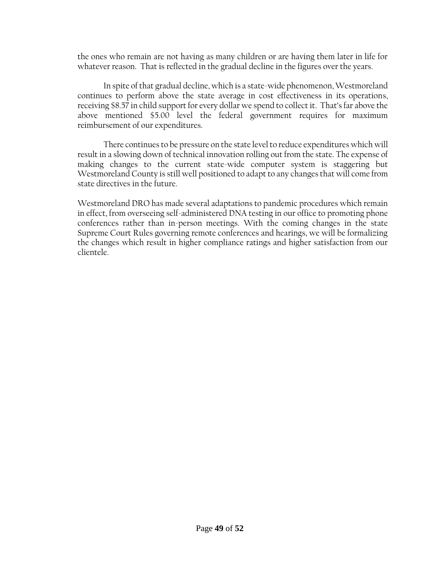the ones who remain are not having as many children or are having them later in life for whatever reason. That is reflected in the gradual decline in the figures over the years.

In spite of that gradual decline, which is a state-wide phenomenon, Westmoreland continues to perform above the state average in cost effectiveness in its operations, receiving \$8.57 in child support for every dollar we spend to collect it. That's far above the above mentioned \$5.00 level the federal government requires for maximum reimbursement of our expenditures.

There continues to be pressure on the state level to reduce expenditures which will result in a slowing down of technical innovation rolling out from the state. The expense of making changes to the current state-wide computer system is staggering but Westmoreland County is still well positioned to adapt to any changes that will come from state directives in the future.

Westmoreland DRO has made several adaptations to pandemic procedures which remain in effect, from overseeing self-administered DNA testing in our office to promoting phone conferences rather than in-person meetings. With the coming changes in the state Supreme Court Rules governing remote conferences and hearings, we will be formalizing the changes which result in higher compliance ratings and higher satisfaction from our clientele.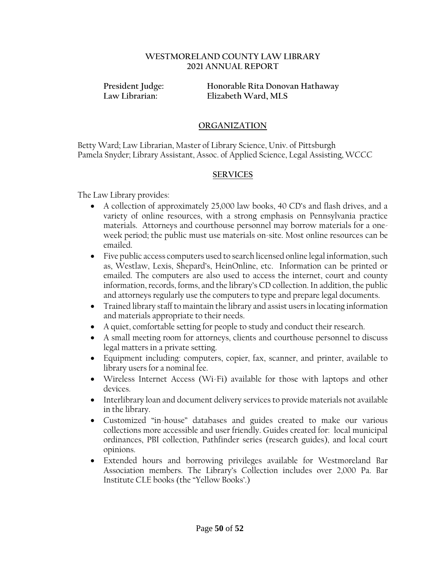#### **WESTMORELAND COUNTY LAW LIBRARY 2021 ANNUAL REPORT**

**President Judge: Honorable Rita Donovan Hathaway Law Librarian: Elizabeth Ward, MLS**

#### **ORGANIZATION**

Betty Ward; Law Librarian, Master of Library Science, Univ. of Pittsburgh Pamela Snyder; Library Assistant, Assoc. of Applied Science, Legal Assisting, WCCC

#### **SERVICES**

The Law Library provides:

- A collection of approximately 25,000 law books, 40 CD's and flash drives, and a variety of online resources, with a strong emphasis on Pennsylvania practice materials. Attorneys and courthouse personnel may borrow materials for a oneweek period; the public must use materials on-site. Most online resources can be emailed.
- Five public access computers used to search licensed online legal information, such as, Westlaw, Lexis, Shepard's, HeinOnline, etc. Information can be printed or emailed. The computers are also used to access the internet, court and county information, records, forms, and the library's CD collection. In addition, the public and attorneys regularly use the computers to type and prepare legal documents.
- Trained library staff to maintain the library and assist users in locating information and materials appropriate to their needs.
- A quiet, comfortable setting for people to study and conduct their research.
- A small meeting room for attorneys, clients and courthouse personnel to discuss legal matters in a private setting.
- Equipment including: computers, copier, fax, scanner, and printer, available to library users for a nominal fee.
- Wireless Internet Access (Wi-Fi) available for those with laptops and other devices.
- Interlibrary loan and document delivery services to provide materials not available in the library.
- Customized "in-house" databases and guides created to make our various collections more accessible and user friendly. Guides created for: local municipal ordinances, PBI collection, Pathfinder series (research guides), and local court opinions.
- Extended hours and borrowing privileges available for Westmoreland Bar Association members. The Library's Collection includes over 2,000 Pa. Bar Institute CLE books (the "Yellow Books'.)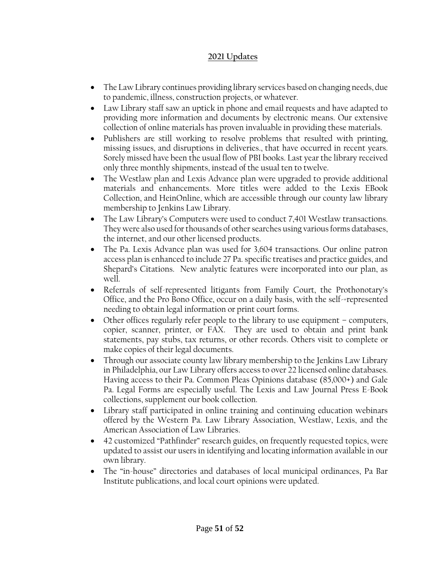### **2021 Updates**

- The Law Library continues providing library services based on changing needs, due to pandemic, illness, construction projects, or whatever.
- Law Library staff saw an uptick in phone and email requests and have adapted to providing more information and documents by electronic means. Our extensive collection of online materials has proven invaluable in providing these materials.
- Publishers are still working to resolve problems that resulted with printing, missing issues, and disruptions in deliveries., that have occurred in recent years. Sorely missed have been the usual flow of PBI books. Last year the library received only three monthly shipments, instead of the usual ten to twelve.
- The Westlaw plan and Lexis Advance plan were upgraded to provide additional materials and enhancements. More titles were added to the Lexis EBook Collection, and HeinOnline, which are accessible through our county law library membership to Jenkins Law Library.
- The Law Library's Computers were used to conduct 7,401 Westlaw transactions. They were also used for thousands of other searches using various forms databases, the internet, and our other licensed products.
- The Pa. Lexis Advance plan was used for 3,604 transactions. Our online patron access plan is enhanced to include 27 Pa. specific treatises and practice guides, and Shepard's Citations. New analytic features were incorporated into our plan, as well.
- Referrals of self-represented litigants from Family Court, the Prothonotary's Office, and the Pro Bono Office, occur on a daily basis, with the self-=represented needing to obtain legal information or print court forms.
- Other offices regularly refer people to the library to use equipment computers, copier, scanner, printer, or FAX. They are used to obtain and print bank statements, pay stubs, tax returns, or other records. Others visit to complete or make copies of their legal documents.
- Through our associate county law library membership to the Jenkins Law Library in Philadelphia, our Law Library offers access to over 22 licensed online databases. Having access to their Pa. Common Pleas Opinions database (85,000+) and Gale Pa. Legal Forms are especially useful. The Lexis and Law Journal Press E-Book collections, supplement our book collection.
- Library staff participated in online training and continuing education webinars offered by the Western Pa. Law Library Association, Westlaw, Lexis, and the American Association of Law Libraries.
- 42 customized "Pathfinder" research guides, on frequently requested topics, were updated to assist our users in identifying and locating information available in our own library.
- The "in-house" directories and databases of local municipal ordinances, Pa Bar Institute publications, and local court opinions were updated.